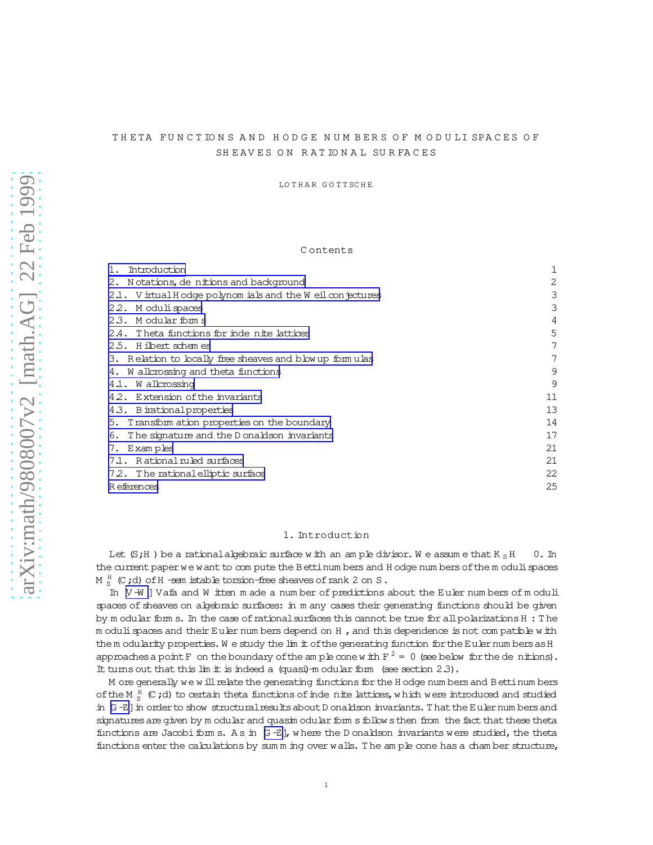# THETA FUNCTIONS AND HODGE NUMBERS OF MODULI SPACES OF SHEAVES ON RATIONAL SURFACES

LOTHAR GOTTSCHE

#### Contents

| Introduction                                             | 1  |
|----------------------------------------------------------|----|
| 2. Notations, de nitions and background                  | 2  |
| 2.1. Virtual Hodge polynomials and the Weilcon jectures  | 3  |
| 2.2. Moduli spaces                                       | 3  |
| 23. Modular forms                                        | 4  |
| 2.4. Theta functions for inde nite lattices              | 5  |
| 2.5. Hilbert schemes                                     | 7  |
| 3. Relation to locally free sheaves and blow up formulas | 7  |
| 4. W all crossing and theta functions                    | 9  |
| 4.1. Wallcrossing                                        | 9  |
| 4.2. Extension of the invariants                         | 11 |
| 4.3. Birational properties                               | 13 |
| 5. Transform ation properties on the boundary            | 14 |
| The signature and the D onaldson invariants<br>6.        | 17 |
| 7. Examples                                              | 21 |
| 7.1. Rational ruled surfaces                             | 21 |
| 72. The rational elliptic surface                        | 22 |
| R eferences                                              | 25 |

# 1. Introduction

Let  $(S,H)$  be a rational algebraic surface with an ample divisor. We assume that  $K_S H$  $0.$  In the current paper we want to com pute the Bettinum bers and H odge num bers of the m oduli spaces  $M_S^H$  (C;d) of H -sem istable torsion-free sheaves of rank 2 on S.

In [V-W] Vafa and W itten m ade a number of predictions about the Euler numbers of moduli spaces of sheaves on algebraic surfaces: in m any cases their generating functions should be given by modular form s. In the case of rational surfaces this cannot be true for all polarizations H : The m oduli spaces and their Euler numbers depend on H, and this dependence is not compatible with the m odularity properties. We study the lim it of the generating function for the Euler numbers as H approaches a point F on the boundary of the ample cone with  $F^2 = 0$  (see below for the denitions). It turns out that this  $\lim$  it is indeed a (quasi)-m odular form (see section 2.3).

M ore generally we will relate the generating functions for the H odge num bers and B etti num bers of the M  $\frac{H}{g}$  (C;d) to certain theta functions of inde nite lattices, which were introduced and studied in [G-Z] in order to show structural results about D onaldson invariants. That the Euler numbers and signatures are given by modular and quasimodular form s follows then from the fact that these theta functions are Jacobi form s. As in  $G - Z$ , where the D onaldson invariants were studied, the theta functions enter the calculations by summing over walls. The ample cone has a chamber structure,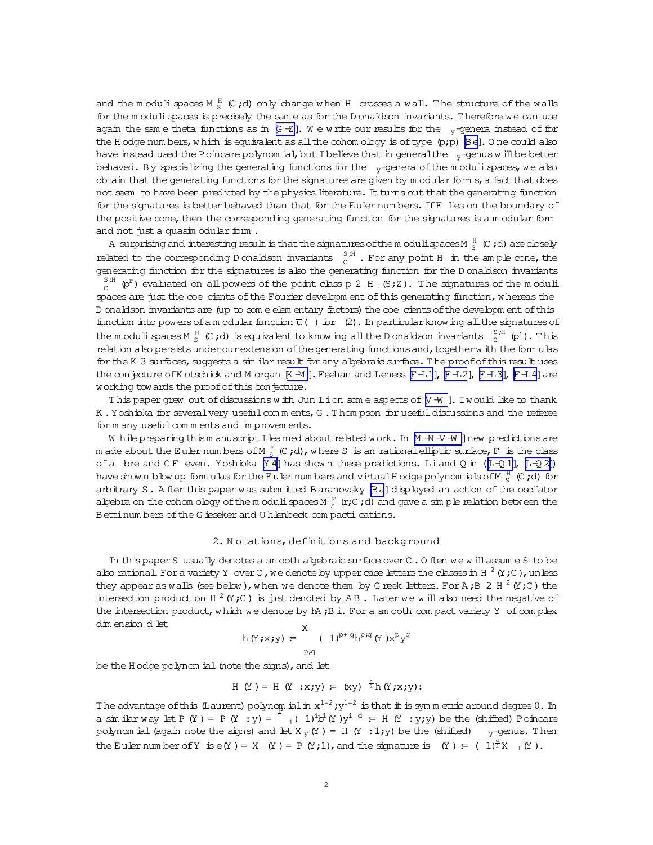<span id="page-1-0"></span>and the modulispaces M  $^{\text{H}}_{\text{S}}$  (C;d) only change when H crosses a wall. The structure of the walls for the m oduli spaces is precisely the sam e as for the D onaldson invariants. Therefore we can use again the same theta functions as in  $G - Z$ ]. We write our results for the  $v$ -genera instead of for the H odge num bers, w hich is equivalent as all the cohom ology is of type  $(p;p)$  [\[Be\]](#page-24-0). O ne could also have instead used the Poincare polynom ial, but I believe that in general the  $v$ -genus w ill be better behaved. By specializing the generating functions for the  $v$ -genera of the m oduli spaces, we also obtain that the generating functions for the signatures are given by  $m$  odular form  $s$ , a fact that does not seem to have been predicted by the physics literature. It turns out that the generating function for the signatures is better behaved than that for the Euler num bers. IfF lies on the boundary of the positive cone, then the corresponding generating function for the signatures is a m odular form and not just a quasim odular form.

A surprising and interesting result is that the signatures of the moduli spaces M  $_{{\rm S}}^{{\rm H}}$  (C ; d) are closely related to the corresponding D onaldson invariants  $\int_{C}^{S,H}$ . For any point H in the ample cone, the generating function for the signatures is also the generating function for the D onaldson invariants  $_\mathrm{C}^\mathrm{S,H}$  (p<sup>r</sup>) evaluated on all powers of the point class p 2 H  $_0$  (S;Z). The signatures of the moduli spaces are just the coe cients of the Fourier developm ent of this generating function, w hereas the D onaldson invariants are (up to som e elem entary factors) the coe cients of the developm ent of this function into powers of a m odular function  $\overline{u}$  () for (2). In particular know ing all the signatures of the modulispaces M  $^H_S$  (C;d) is equivalent to know ing all the D onaldson invariants  $\int_c^{S,H}$  (p<sup>r</sup>). This relation also persists under our extension of the generating functions and, together w ith the form ulas for the K 3 surfaces, suggests a sim ilar result for any algebraic surface. The proof of this result uses the conjecture of K otschick and M organ  $[K - M]$ . Feehan and Leness  $[F - L1]$ ,  $[F - L2]$ ,  $[F - L3]$ ,  $[F - L4]$  are working tow ards the proof of this conjecture.

This paper grew out of discussions with Jun Lion some aspects of  $[V + W]$ . I would like to thank K .Yoshioka for severalvery usefulcom m ents,G .T hom pson for usefuldiscussions and the referee form any usefulcomm ents and improvem ents.

W hile preparing thism anuscript I learned about related work. In [\[M -N -V -W \]](#page-25-0) new predictions are m ade about the Euler num bers of M  $_{{\rm S}}^{{\rm F}}$  (C;d),w here S is an rational elliptic surface, F is the class of a bre and CF even. Yoshioka [\[Y 4\]](#page-26-0) has shown these predictions. Liand Q in ( $[L+Q1]$ ,  $[L+Q2]$ ) have show n blow up form ulas for the Euler num bers and virtual Hodge polynom ials of M  $_{\rm S}^{\rm H}$  (C ;d) for arbitrary S. A fter this paper was subm itted Baranovsky [\[Ba](#page-24-0)] displayed an action of the oscilator algebra on the cohom ology of the modulispaces M  $^F_S$  (r;C;d) and gave a simple relation between the Bettinum bers of the G ieseker and U hlenbeck com pacti cations.

### 2. Notations, definitions and background

In this paper S usually denotes a sm ooth algebraic surface over C . O ften we will assum e S to be also rational. For a variety Y over C , we denote by upper case letters the classes in H  $^2$  (Y ; C ) , unless they appear as walls (see below), when we denote them by G reek letters. For A; B 2 H  $^2$  (Y; C) the intersection product on H  $^2$  (Y;C) is just denoted by AB. Later we will also need the negative of the intersection product, which we denote by  $h$ ,  $B$  i. For a sm ooth com pact variety Y of complex dim ension d let X

$$
h(Y; x; y) = \sum_{p \nmid q} (1)^{p+q} h^{pq} (Y) x^p y^q
$$

be the H odge polynom ial (note the signs), and let

$$
H (Y) = H (Y : x; y) = (xy) \stackrel{d}{\geq} h (Y; x; y)
$$

The advantage of this (Laurent) polynom ial in  $x^{1=2}$ ;  $y^{1=2}$  is that it is symmetric around degree 0. In a similar way let P (Y ) = P (Y : y) =  $\int_{i}^{1} (1)^{i}b^{i}(Y)y^{i} dy = H(Y : Y;Y)$  be the (shifted) Poincare polynom ial (again note the signs) and let  $X_y(Y) = H(Y : 1:y)$  be the (shifted)  $y$ -genus. Then the Euler num ber of Y is  $e(Y) = X_1(Y) = P(Y;1)$ , and the signature is  $(Y) = (1)^{\frac{d}{2}}X_1(Y)$ .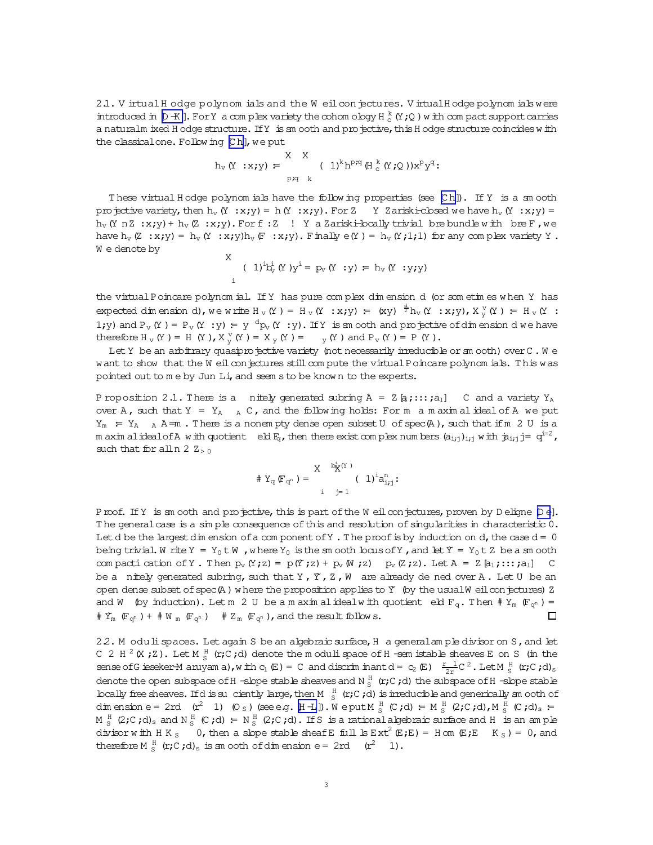<span id="page-2-0"></span>2.1. V irtual H odge polynom ials and the W eil conjectures. V irtual H odge polynom ials were introduced in  $[D-K]$ . For Y a com plex variety the cohom ology H  $_c^k$  (Y;Q) with com pact support carries a naturalm ixed H odge structure. If Y is sm ooth and projective, this H odge structure coincides w ith the classical one. Following [Ch], we put

$$
h_v(Y : x; y) = \sum_{p;q=k}^{X-X} (1)^k h^{p;q} (H_c^k(Y; Q)) x^p y^q;
$$

T hese virtual H odge polynom ials have the follow ing properties (see [\[C h\]](#page-24-0)). If Y is a sm ooth projective variety, then  $h_v(Y : x; y) = h(Y : x; y)$ . For Z Y Zariski-closed we have  $h_v(Y : x; y)$  =  $h_v$  (Y n Z :x;y) +  $h_v$  (Z :x;y). For f: Z ! Y a Zariski-locally trivial bre bundle with bre F, we have h<sub>v</sub>(Z :x;y) = h<sub>v</sub>(Y :x;y)h<sub>v</sub>(F :x;y). Finally e(Y) = h<sub>v</sub>(Y;1;1) for any com plex variety Y. W e denote by

$$
X \quad (1)^{i}b_{v}^{i} (Y)y^{i} = p_{v} (Y : Y) = h_{v} (Y : Y)Y
$$

the virtualPoincare polynom ial. IfY has pure com plex dim ension d (or som etim es w hen Y has expected dimension d), we write  $H_V(Y) = H_V(Y : x; y) = (xy)^{-\frac{d}{2}} h_V(Y : x; y)$ ,  $X_Y^V(Y) = H_V(Y : x; y)$ 1;y) and  $P_v(Y) = P_v(Y : y) = y \frac{d}{dx}y(Y : y)$ . If Y is an ooth and projective of dimension dwe have therefore H<sub>v</sub>(Y ) = H(Y ), X<sub>y</sub><sup>v</sup>(Y ) = X<sub>y</sub>(Y ) = <sub>y</sub>(Y ) and P<sub>v</sub>(Y ) = P(Y ).

Let Y be an arbitrary quasiprojective variety (not necessarily irreducible or sm ooth) over C. W e want to show that the W eilconjectures stillcom pute the virtual Poincare polynom ials. This was pointed out to me by Jun Li, and seem s to be known to the experts.

P roposition 2.1. There is a nitely generated subring  $A = Z[g;...;a_1]$  C and a variety  $Y_A$ over A, such that Y =  $Y_A$  A C, and the following holds: For m a m axim al ideal of A we put  $Y_m$  =  $Y_A$  A  $\equiv$  A  $\equiv$  There is a nonem pty dense open subset U of spec(A), such that if m 2 U is a m axim alidealofA with quotient  $\,$  e.bl  $\rm E_{q}$ , then there exist com plex num bers  $\rm (a_{i,j})_{i,j}$  with  $\rm \dot{a}_{i,j}$  j=  $\rm \,q^{i=2}$  , such that for all n 2  $Z_{> 0}$ 

$$
\text{ } \#\, Y_q\,(\!\!\!\! F_{q^n}\,)\,=\, \frac{X}{\phantom{+} \sum\limits_{j=1}^{k_N^i (Y\,)}} \,(\,\!\!\!\! 1)^i a^n_{i\,j\,j}\,.
$$

Proof. If Y is sm ooth and projective, this is part of the W eilconjectures, proven by D eligne [\[D e](#page-25-0)]. The general case is a simple consequence of this and resolution of singularities in characteristic 0. Let d be the largest dim ension of a component of Y . The proof is by induction on d, the case  $d = 0$ being trivial. W rite Y = Y<sub>0</sub> t W , where Y<sub>0</sub> is the sm ooth locus of Y, and let  $\Upsilon = Y_0 t Z$  be a sm ooth com pacti cation of Y. Then  $p_v(Y; z) = p(Y; z) + p_v(W; z)$   $p_v(Z; z)$ . Let  $A = Z[a_1; ...; a_1]$  C be a nitely generated subring, such that Y, Y, Z, W are already de ned over A. Let U be an open dense subset of spec(A) w here the proposition applies to  $\Upsilon$  (by the usualW eilcon jectures) Z and W (by induction). Let m 2 U be a m axim alideal with quotient eld  $F_q$ . Then  $# Y_m$  ( $F_{q^n}$ ) = #  $\Upsilon_m$  (F<sub>qn</sub>) + # W<sub>m</sub> (F<sub>qn</sub>) +  $Z_m$  (F<sub>qn</sub>), and the result follow s. п

22. M odulispaces. Let again S be an algebraic surface, H a general ample divisor on S, and let C 2 H  $^2$  (X ; Z). Let M  $^H_S$  (r; C; d) denote the modulispace of H -sem istable sheaves E on S (in the sense of Gieseker-M anyam a), with  $c_1(E) = C$  and discriminant  $d = c_2(E)$   $\frac{r-1}{2r}C^2$ . Let M  $\frac{R}{S}$  (r; C; d)<sub>s</sub> denote the open subspace of H -slope stable sheaves and N  $_{\rm S}^{\rm H}$  (r;C ;d) the subspace of H -slope stable bcally free sheaves. If d is suciently large, then M  $\frac{H}{S}$  (r;C;d) is irreducible and generically sm ooth of dimension e= 2rd  $(r^2 \t1)$  (0<sub>S</sub>)(see e.g.  $[H - L]$ ).We put M<sup>H</sup><sub>S</sub> (C;d) = M<sup>H</sup><sub>S</sub> (2;C;d),M<sup>H</sup><sub>S</sub> (C;d)<sub>s</sub> = M  $_S$  (2;C;d)<sub>s</sub> and N  $_S$  (C;d) = N  $_S$  (2;C;d). IfS is a rationalalgebraic surface and H is an am ple divisor with HK<sub>S</sub> 0, then a slope stable sheaf E full ls  $Ext^2(E;E) =$  H om  $(E;E K_S) = 0$ , and therefore  $M_S^H$  (**r**;C;d)<sub>s</sub> is sm ooth of dimension e= 2rd ( $r^2$  1).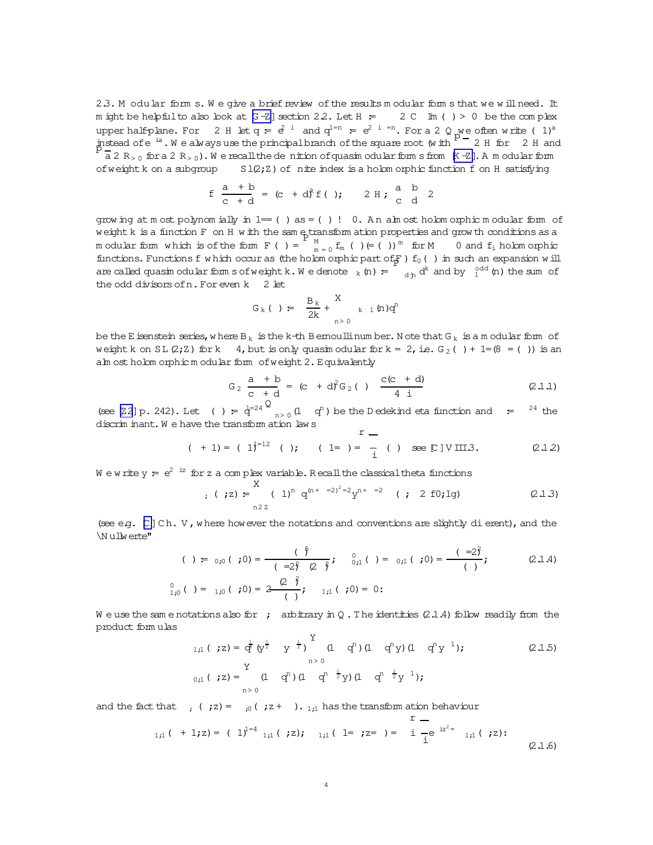<span id="page-3-0"></span>2.3. M odular form s. We give a brief review of the results modular forms that we will need. It m ight be helpfulto also look at  $[G - Z]$  section 2.2. Let  $H = 2 C$  Im ( ) > 0 be the complex upper half-plane. For 2 H let  $q = e^{2i}$  and  $q^{1-n} = e^{2i}$  =n. For a 2 Q we often write ( 1)<sup>a</sup> instead of e  $\frac{1}{2}$ . W e always use the principal branch of the square root (w ith  $\frac{p}{p}$  – 2 H for 2 H and  $\frac{p}{p}$  – 2 = 0.000 m in the square root (w ith  $\frac{p}{p}$  – 2 H for 2 H and  $\frac{p}{p}$  – 0.000 m in the sq  $\overline{a}$  2 R<sub>>0</sub> for a 2 R<sub>>0</sub>). We recall the dentition of quasim odular form  $K-Z$ ]. A m odular form of weight k on a subgroup  $S1(2;Z)$  of nite index is a holom orphic function f on H satisfying

$$
f \frac{a + b}{c + d} = (c + d)^{k} f()
$$
;  $2 H$ ;  $\frac{a}{c} \frac{b}{d}$ 

grow ing at m ost polynom ially in  $1=$  () as = () ! 0. A n alm ost holom orphic m odular form of weightk is a function F on H w ith the sam e transform ation properties and grow th conditions as a weight k is a inficular F on A will the same diam allon properties and grow in conditions as a<br>modular form which is of the form  $F$  ( ) =  $\frac{M}{m} = 0$   $f_m$  ( )  $\in$  ( ))<sup>m</sup> for M 0 and  $f_i$  holom orphic functions. Functions f w hich occur as (the holom orphic part of  $F$ ) f<sub>0</sub>( ) in such an expansion w ill are called quasim odular form s of weight k. W e denote  $_k(n) = \int_{d^2 n} d^k$  and by  $\int_1^{\text{odd}} (n)$  the sum of the odd divisorsofn.For even k 2 let

$$
G_k()
$$
 =  $\frac{B_k}{2k} + \frac{X}{n>0}$   $k \neq 1$  (n)q<sup>n</sup>

be the E isenstein series, where  $B_k$  is the k-th Bernoullinum ber. N ote that  $G_k$  is a m odular form of weight k on SL(2;Z) for k 4, but is only quasim odular for  $k = 2$ , i.e. G<sub>2</sub>( ) + 1=(8 = ( )) is an alm ostholom orphic m odular form of weight 2. Equivalently

$$
G_2 \frac{a + b}{c + d} = (c + d)^2 G_2()
$$
  $\frac{c(c + d)}{4 i}$  (2.1.1)

(see [\[Z2](#page-26-0)] p. 242). Let ( ) =  $\dot{q}^{-24}$   $\Omega_{n>0}$  (1 q<sup>n</sup>) be the D edekind eta function and = <sup>24</sup> the discrim inant. We have the transform ation law s  $r =$ 

$$
( + 1) = ( 1)^{1-12} ( )
$$
;  $( 1= ) = - ( )$  see [C] V III.3. (2.1.2)

We write  $y = e^{2^{i}z}$  for z a complex variable. Recall the classical theta functions

;(;z):= X n2 Z ( 1)nq (n<sup>+</sup> =2)<sup>2</sup> <sup>=</sup><sup>2</sup>y <sup>n</sup><sup>+</sup> =<sup>2</sup> (; 2 f0;1g) (2.1.3)

(see e.g.  $[C]$  Ch. V, w here how ever the notations and conventions are slightly dierent), and the \N ullwerte"

$$
( ) = {}_{0,0} ( ; 0 ) = \frac{ ( \bar{f} )}{ ( -2 \bar{f} ( 2 \bar{f} )}; \quad {}_{0,1}^{0} ( ) = {}_{0,1} ( ; 0 ) = \frac{ ( -2 \bar{f} )}{ ( )}; \quad ( 2.1.4)
$$
  

$$
{}_{1,0}^{0} ( ) = {}_{1,0} ( ; 0 ) = 2 \frac{ ( 2 \bar{f} )}{ ( )}; \quad {}_{1,1} ( ; 0 ) = 0;
$$

We use the same notations also for ; arbitrary in Q. The identities (2.1.4) follow readily from the product form ulas  $\overline{Y}$ 

$$
1,1 \, (\begin{array}{ccc} 1,1 \, (\begin{array}{ccc} 1,2 \end{array}) = \frac{1}{\mathbf{q}^2} \left( \mathbf{y}^{\frac{1}{2}} & \mathbf{y}^{-\frac{1}{2}} \right)^{-1} & \left( 1 - \mathbf{q}^n \right) \left( 1 - \mathbf{q}^n \mathbf{y} \right) \left( 1 - \mathbf{q}^n \mathbf{y}^{-1} \right); \qquad (2.1.5) \\ \n\mathbf{y} & \mathbf{y} & \mathbf{y} & \mathbf{y} \\ \n\mathbf{y} & \mathbf{y} & \mathbf{y} & \mathbf{y} \\ \n\mathbf{y} & \mathbf{y} & \mathbf{y} & \mathbf{y} \end{array} \right) \tag{2.1.5}
$$

and the fact that  $;$   $($ ;z) =  $;0$   $;z$  +  $)$ .  $_{1,1}$  has the transform ation behaviour

$$
r = \frac{r}{1,1} ( + 1, z) = ( 1)^{1-4} 1,1 ( z); \quad 1,1 ( 1 = z = ) = i -e^{iz^{2}} 1,1 ( z); \quad (2.1.6)
$$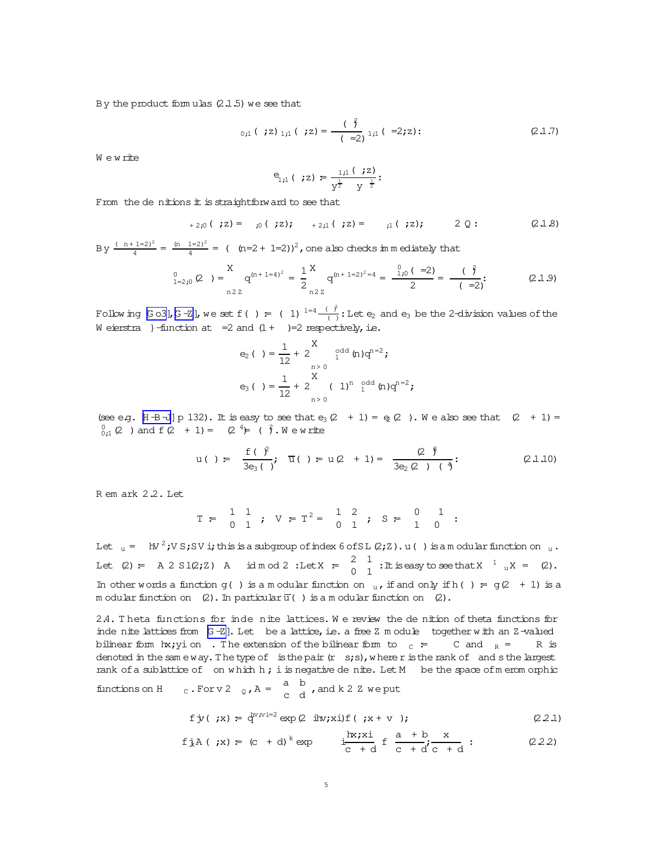<span id="page-4-0"></span>By the product formulas  $(2.1.5)$  we see that

$$
C_{1,1} ( ;z)_{1,1} ( ;z) = \frac{(\overset{\circ}{})}{(-z)}_{1,1} (-z;z); \qquad (2.1.7)
$$

Wewrite

$$
e_{1,1} ( ;z) = \frac{1,1 ( ;z)}{y^{\frac{1}{2}} y^{\frac{1}{2}}}
$$

From the dentions it is straightforw and to see that

$$
+2;0(7z) = 0;0(7z); +2;1(7z) = 0;1(7z); 2Q: (2.1.8)
$$

By  $\frac{(n+1-2)^2}{4} = \frac{(n-1-2)^2}{4} = (n-2+1-2)^2$ , one also checks in mediately that

$$
\int_{1=2\,;0}^{0} (2) \, dz = \int_{\text{m } 2\,;0}^{0} q^{(n+1=4)^2} = \frac{1}{2} \int_{\text{m } 2\,;0}^{0} q^{(n+1=2)^2=4} = \frac{\int_{1\,;0}^{0} (1-2)}{2} = \frac{(\frac{9}{2})}{(-2)}.
$$

Following [Go3], [G-Z], we set f() = (1)  $^{1-4}$   $\frac{(\theta)}{(\theta)}$ : Let e<sub>2</sub> and e<sub>3</sub> be the 2-division values of the W eierstra }-function at =2 and  $(1 + )$ =2 respectively, i.e.

$$
e_2 ( ) = \frac{1}{12} + 2 \int_{n>0}^{x} t^{odd} (n) q^{n=2};
$$
  
\n
$$
e_3 ( ) = \frac{1}{12} + 2 \int_{n>0}^{x} (1)^n t^{odd} (n) q^{n=2};
$$

(see e.g. [H  $\oplus$  -J] p 132). It is easy to see that  $e_3(2 + 1) = e_2(2)$ . We also see that  $(2 + 1) =$  $^{0}_{0:1}$  (2) and f (2 + 1) = (2<sup>4</sup>) = ( $\hat{f}$ . We write

$$
u( ) = \frac{f( )^2}{3e_3( )}; \overline{u}( ) = u(2 + 1) = \frac{(2^{\frac{6}{5}})}{3e_2(2) ( )^{\frac{6}{5}}}.
$$
 (2.1.10)

Rem ark 2.2. Let

$$
T = \begin{pmatrix} 1 & 1 \\ 0 & 1 \end{pmatrix}
$$
;  $V = T^2 = \begin{pmatrix} 1 & 2 \\ 0 & 1 \end{pmatrix}$ ;  $S = \begin{pmatrix} 0 & 1 \\ 1 & 0 \end{pmatrix}$ :

Let  $u = M^2$ ; VS; SV i; this is a subgroup of index 6 of SL (2; Z). u() is a modular function on  $u$ . Let (2) = A 2 S1(2;2) A id mod 2 :Let  $X = \begin{pmatrix} 2 & 1 \\ 0 & 1 \end{pmatrix}$ : It is easy to see that  $X^{-1}$   $_uX = (2)$ . In other words a function  $g( )$  is a modular function on  $_u$ , if and only if h( ) =  $g(2 + 1)$  is a modular function on (2). In particular  $\overline{u}$  () is a modular function on (2).

2.4. Theta functions for inde nite lattices. We review the de nition of theta functions for inde nite lattices from [G-Z]. Let be a lattice, i.e. a free Z m odule together with an Z-valued bilinear form hx; yi on . The extension of the bilinear form to  $\overline{c}$  =  $\overline{c}$  and  $\overline{R}$  = R is denoted in the same way. The type of is the pair  $(r \text{ s}; s)$ , where r is the rank of and s the largest rank of a sublattice of on which  $h$ ; i is negative denite. Let  $M$  be the space of merom orphic

functions on H c. For v 2  $_{Q}$ , A =  $\begin{matrix} a & b \\ c & d \end{matrix}$ , and k 2 Z we put

$$
f y(\cdot; x) = \frac{d}{dx} \exp(2 \sin(x + v)) \tag{2.2.1}
$$

$$
f_{A}(x) = (c + d)^{k} \exp \frac{\ln x}{c + d} f \frac{a + b}{c + d} f
$$
 (222)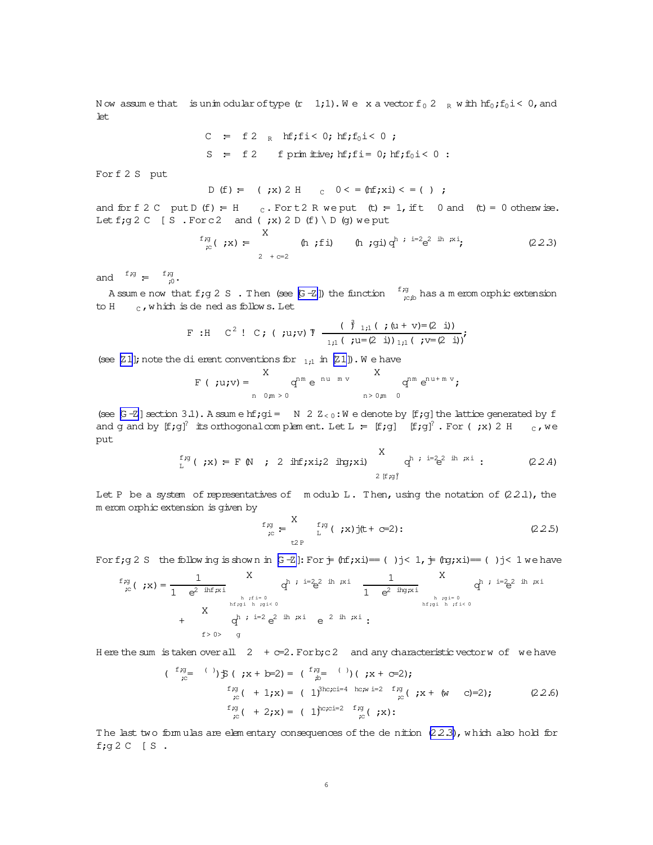<span id="page-5-0"></span>Now assume that is unimodular of type  $(r\ 1,1)$ . We x a vector  $f_0 2_R w$  ith  $h f_0$ ;  $f_0 i < 0$ , and  $let.$ 

> C = f2 R hf;fi< 0; hf;f<sub>0</sub>i< 0; S = f 2 f prim itive;  $hf$ ; fi= 0;  $hf$ ; f<sub>0</sub>i < 0 :

Forf 2 S put

D (f) = ( ;x) 2 H 
$$
c
$$
 0  $<$  = (hf;xi)  $<$  = ( )

and for f 2 C put D (f) = H c. Fort 2 R we put (t) = 1, if t 0 and (t) = 0 otherwise. Let f;  $g$  2 C [S . For c2 and (;x) 2 D (f) \ D (g) we put

$$
f_{\text{rc}}(x) = \sum_{2 + c = 2}^{X} (h_i f_i) \quad (h_i g_i) q^{h_i} = 2e^{2 \text{ ih } \mu x_i}
$$
 (22.3)

and  $f,g = f, g \neq 0$ .

Assume now that f;  $g 2 S$ . Then (see  $[6 - Z]$ ) the function  $\frac{f_{7}g}{f_{7}g_{D}}$  has a meromorphic extension to  $H_{c}$ , which is dened as follows. Let

F : H C<sup>2</sup> ! C; ( ;u;v) T 
$$
\frac{(\beta_{1,1}( ; (u+v)=(2 \ i))}{(1,1 ( ; u=(2 \ i))_{1,1}( ; v=(2 \ i))})
$$

(see [Z1]; note the dierent conventions for  $_{1:1}$  in [Z1]). We have

$$
F(\cdot; u; v) = \begin{cases} X & q^{nm} e^{-nu + mv} & X \\ n & 0 \text{ m} > 0 \end{cases} \qquad \qquad \begin{cases} X & q^{nm} e^{nu + mv} \\ n & > 0 \text{ m} \end{cases}
$$

(see [G-Z] section 3.1). A ssum e hf; gi = N 2  $Z_{<0}$ : W e denote by [f; g] the lattice generated by f and g and by  $[f;g]$ <sup>2</sup> its orthogonal complement. Let L =  $[f;g]$   $[f;g]$ <sup>2</sup>. For (;x) 2 H c, we put  $\overline{z}$ 

$$
f_{\mu}^{f,g}(x) = F M ; 2 \text{ inf}_{j}x i j2 \text{ inf}_{j}x i) \bigg\{ \begin{array}{c} X \\ q^{h} : i = 2e^{2} \text{ in } x i ; \end{array} \qquad (22.4)
$$

Let P be a system of representatives of modulo L. Then, using the notation of  $(2.2.1)$ , the m erom orphic extension is given by

$$
f_{\underset{\text{IC}}{\text{sg}}} = \sum_{\underset{\text{L2P}}{\text{L}}} f_{\underset{\text{I}}{\text{sg}}}(\underset{\text{I}}{\text{g}}) \text{j(t+} \text{c=2}) : \tag{2.2.5}
$$

For f; g 2 S the following is shown in  $G-Z$  : For  $\frac{1}{T}$  (nf; xi)== ()j< 1,  $\frac{1}{T}$  (ng; xi)== ()j< 1 we have

$$
f_{;g}^{f,g}(x) = \frac{1}{1 - e^{2 \inf_{\substack{h \\ \text{inf } g \text{ is } h}} x}} \quad q^{h} : i = 2e^{2 \inf_{\substack{h \\ \text{inf } g \text{ is } h}} x} \quad q^{h} : i = 2e^{2 \inf_{\substack{h \\ \text{inf } g \text{ is } h}} x} \quad q^{h} : i = 2e^{2 \inf_{\substack{h \\ \text{inf } g \text{ is } h}} x} \quad q^{h} : i = 2e^{2 \inf_{\substack{h \\ \text{inf } g \text{ is } h}} x}.
$$

Here the sum is taken over all  $2 + c=2$ . For b; c 2 and any characteristic vector w of we have

$$
(\begin{array}{c} \n f \cdot g = \n \end{array}) \n \mathfrak{F} \n \begin{array}{c} \n \mathfrak{F} \n \mathfrak{F} \n \end{array} \n \begin{array}{c} \n \mathfrak{F} \n \mathfrak{F} \n \end{array} \n \begin{array}{c} \n \mathfrak{F} \n \mathfrak{F} \n \end{array} \n \begin{array}{c} \n \mathfrak{F} \n \mathfrak{F} \n \end{array} \n \begin{array}{c} \n \mathfrak{F} \n \mathfrak{F} \n \end{array} \n \begin{array}{c} \n \mathfrak{F} \n \mathfrak{F} \n \end{array} \n \begin{array}{c} \n \mathfrak{F} \n \mathfrak{F} \n \end{array} \n \begin{array}{c} \n \mathfrak{F} \n \mathfrak{F} \n \end{array} \n \begin{array}{c} \n \mathfrak{F} \n \mathfrak{F} \n \end{array} \n \begin{array}{c} \n \mathfrak{F} \n \mathfrak{F} \n \end{array} \n \begin{array}{c} \n \mathfrak{F} \n \mathfrak{F} \n \end{array} \n \begin{array}{c} \n \mathfrak{F} \n \mathfrak{F} \n \end{array} \n \begin{array}{c} \n \mathfrak{F} \n \mathfrak{F} \n \end{array} \n \begin{array}{c} \n \mathfrak{F} \n \mathfrak{F} \n \end{array} \n \begin{array}{c} \n \mathfrak{F} \n \mathfrak{F} \n \end{array} \n \begin{array}{c} \n \mathfrak{F} \n \mathfrak{F} \n \end{array} \n \begin{array}{c} \n \mathfrak{F} \n \mathfrak{F} \n \end{array} \n \begin{array}{c} \n \mathfrak{F} \n \mathfrak{F} \n \end{array} \n \begin{array}{c} \n \mathfrak{F} \n \mathfrak{F} \n \end{array} \n \begin{array}{c} \n \mathfrak{F} \n \mathfrak{F} \n \end{array} \n \end{array}
$$

The last two formulas are elementary consequences of the de nition  $(2.2.3)$ , which also hold for f; $g2C$  [S.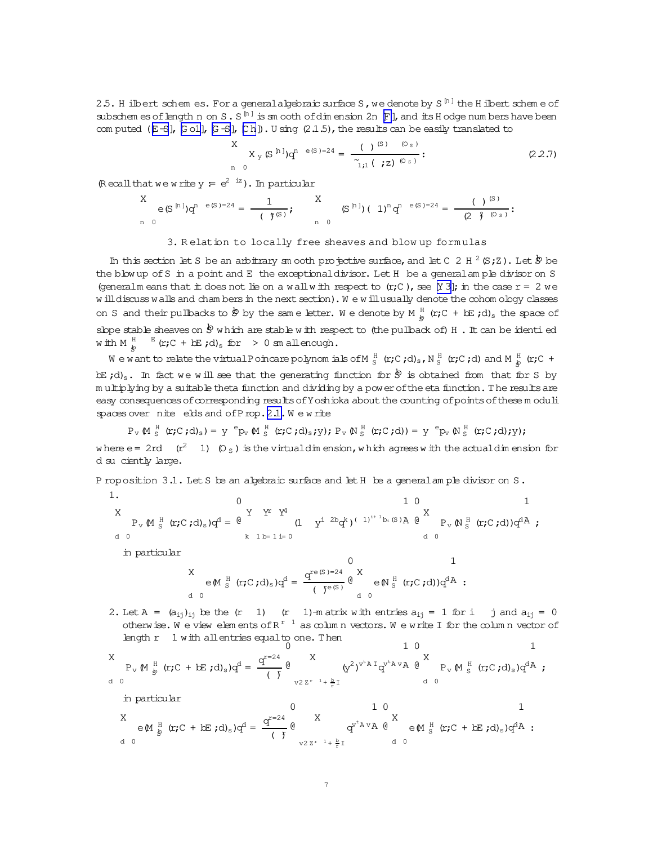<span id="page-6-0"></span>2.5. H ilbert schem es. For a general algebraic surface S, we denote by S<sup>[n]</sup> the H ilbert scheme of subschem es of length n on S . S<sup>[n]</sup> is sm ooth of dim ension 2n  $\mathbb F$  l, and its H odge numbers have been com puted ( $E-5$ ),  $E-6$ ),  $E-5$ ),  $Eh$ ). U sing (2.1.5), the results can be easily translated to

$$
\begin{array}{c}\nX \\
X_{y} (S^{[n]})q^{n} e^{(S)-24} = \frac{(-1)^{(S)} (O_{S})}{\gamma_{1,1} (-7Z)^{(O_{S})}}; \\
\end{array} (2.2.7)
$$

(Recall that we write  $y = e^{2iz}$ ). In particular

$$
\begin{array}{ccc} X & \hspace{0.2cm} e\,(S^{[n]})q^{n-e(S)=24}=\frac{1}{(-\frac{e}{\gamma}(S)\;)}\, , & \hspace{0.2cm} & \hspace{0.2cm} (S^{[n]})\,(-1)^n q^{n-e(S)=24}=\frac{(-)^{(S)}}{(2-\frac{e}{\gamma}(0)_s)}\, ; \\ & n=0 & \end{array}
$$

## 3. Relation to locally free sheaves and blow up formulas

In this section let S be an arbitrary sm ooth projective surface, and let C 2 H  $^2$  (S; Z). Let  $\stackrel{1}{\mathcal{D}}$  be the blow up of S in a point and E the exceptional divisor. Let H be a general ample divisor on S (generalm eans that it does not lie on a wall with respect to  $(r;C)$ , see [Y 3]; in the case  $r = 2$  we will discuss walls and chambers in the next section). We will usually denote the cohom ology classes on S and their pullbacks to  $\frac{1}{2}$  by the same letter. We denote by M  $_{b}^{H}$  (r; C + bE ;d)<sub>s</sub> the space of slope stable sheaves on  $\dot{\mathcal{B}}$  which are stable with respect to (the pullback of) H. It can be identied with M  $_{\&}^{\text{H}}$   $\mathbb{E}$  (r; C + bE;d)<sub>s</sub> for > 0 sm all enough.

We want to relate the virtual Poincare polynomials of M<sub>S</sub> (r;C;d)<sub>s</sub>, N<sub>S</sub> (r;C;d) and M<sub>s</sub> (r;C + bE  $(d)$ <sub>s</sub>. In fact we will see that the generating function for  $\dot{\mathcal{D}}$  is obtained from that for S by multiplying by a suitable theta function and dividing by a power of the eta function. The results are easy consequences of corresponding results of Y oshioka about the counting of points of these moduli spaces over nite elds and of Prop. 2.1. We write

 $P_v \ (\!\!\!\!\! \mathbb{M} \ ^{\mathbb{H}}_{S} \ (\!\!\! \mathbf{r};\! \mathbb{C}\ ;\! \mathbf{d})_s) = \mathbb{Y} \ ^{\mathsf{e}}\! P_v \ (\!\!\!\! \mathbb{M} \ ^{\mathbb{H}}_{S} \ (\!\!\! \mathbf{r};\! \mathbb{C}\ ;\! \mathbf{d})_s\! ;\! \mathbb{y})\! ; \ P_v \ (\!\!\!\! \mathbb{N} \ ^{\mathbb{H}}_{S} \ (\!\!\! \mathbf{r};\! \mathbb{C}\ ;\! \mathbf{d})) = \mathbb{Y} \ ^{\mathsf{e}}\! P_v \ (\!\!\$ where  $e = 2rd$  ( $r^2$  1) (O<sub>S</sub>) is the virtuald in ension, which agrees with the actuald in ension for d su ciently large.

P roposition 3.1. Let S be an abebraic surface and let H be a general ample divisor on S.

1. 0  
\n
$$
P_{v} M_{S}^{H} (r; C; d)_{s}) q^{d} = \frac{q^{Y} Y^{T} Y^{4}}{k I b = 1} \left(1 + \frac{q^{1} 2bq^{k}}{(1 + \frac{q^{1} 2bq^{k}}{(1 + \frac{q^{1} 2bq^{k}}{(1 + \frac{q^{1} 2bq^{k}}{(1 + \frac{q^{1} 2bq^{k}}{(1 + \frac{q^{1} 2bq^{k}}{(1 + \frac{q^{1} 2bq^{k}}{(1 + \frac{q^{1} 2bq^{k}}{(1 + \frac{q^{1} 2bq^{k}}{1 + \frac{q^{1} 2bq^{k}}{(1 + \frac{q^{1} 2bq^{k}}{1 + \frac{q^{1} 2bq^{k}}{(1 + \frac{q^{1} 2bq^{k}}{1 + \frac{q^{1} 2bq^{k}}{(1 + \frac{q^{1} 2bq^{k}}{1 + \frac{q^{1} 2bq^{k}}{1 + \frac{q^{1} 2bq^{k}}{1 + \frac{q^{1} 2bq^{k}}{1 + \frac{q^{1} 2bq^{k}}{1 + \frac{q^{1} 2bq^{k}}{1 + \frac{q^{1} 2bq^{k}}{1 + \frac{q^{1} 2bq^{k}}{1 + \frac{q^{1} 2bq^{k}}{1 + \frac{q^{1} 2bq^{k}}{1 + \frac{q^{1} 2bq^{k}}{1 + \frac{q^{1} 2bq^{k}}{1 + \frac{q^{1} 2bq^{k}}{1 + \frac{q^{1} 2bq^{k}}{1 + \frac{q^{1} 2bq^{k}}{1 + \frac{q^{1} 2bq^{k}}{1 + \frac{q^{1} 2bq^{k}}{1 + \frac{q^{1} 2bq^{k}}{1 + \frac{q^{1} 2bq^{k}}{1 + \frac{q^{1} 2bq^{k}}{1 + \frac{q^{1} 2bq^{k}}{1 + \frac{q^{1} 2bq^{k}}{1 + \frac{q^{1} 2bq^{k}}{1 + \frac{q^{1} 2bq^{k}}{1 + \frac{q^{1} 2bq^{k}}{1 + \frac{q^{1} 2bq^{k}}{1 + \frac{q^{1} 2bq^{k}}{1 + \
$$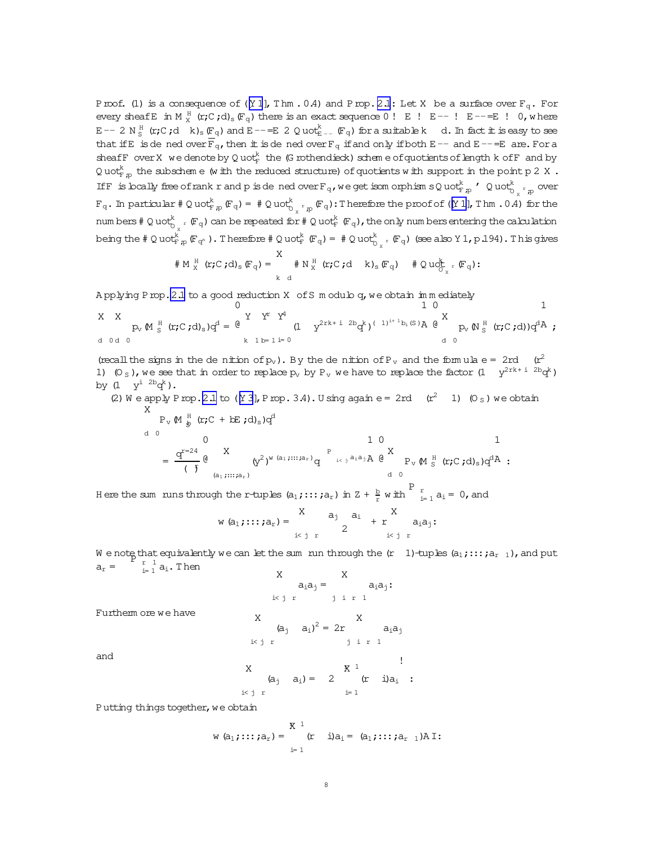Proof. (1) is a consequence of ( $[Y 1]$  $[Y 1]$ , Thm .0.4) and Prop. [2.1](#page-2-0): Let X be a surface over  $F_\sigma$ . For every sheaf E in M  $_X^H$  (r;C;d)<sub>s</sub>( $F_q$ ) there is an exact sequence 0! E ! E--! E--= E ! 0, where  $E$   $-$  2 N  $^{\rm H}_\textrm{S}$  (r;C;d k)<sub>s</sub> (F<sub>q</sub>) and E  $=$  E 2 Q uot $^{\rm k}_{\textrm{E}$   $-$  (F<sub>q</sub>) for a suitable k d. In fact it is easy to see that if E is de ned over  $\overline{F}_q$ , then it is de ned over  $F_q$  if and only if both E-- and E--=E are. For a sheafF over X we denote by Q uot $_{\rm F}^k$  the (G rothendieck) schem e of quotients of length k ofF and by Q uot $_{\mathrm{F},p}^{\mathrm{k}}$  the subschem e (w ith the reduced structure) of quotients w ith support in the point p 2 X  $\,$  . If F is locally free of rank r and p is de ned over  $F_q$ , we get isom orphism sQ uot $F_{p,p}$  'Q uot $_{D_{x}r_{p}}^k$  over  $F_q$ . In particular  $\#\ Q$  uot $_{F|p}^k$  (F<sub>q</sub>) =  $\#\ Q$  uot $_{\bigcirc_x^r p}^k$  (F<sub>q</sub>): Therefore the proof of ([\[Y 1\]](#page-25-0), Thm .0.4) for the num bers # Q uot $^k_{C_v}$  r  $(\mathbb{F}_q)$  can be repeated for # Q uot $^k_{\mathbb{F}}$  (F<sub>q</sub>), the only num bers entering the calculation being the  $\#\ Q$  uot $\bigcup_{\alpha=0}^k\mathbb{F}_{q^{\alpha}}$  ). Therefore  $\#\ Q$  uot $\bigcup_{\alpha=0}^k\mathbb{F}_{q^{\alpha}}= \#\ Q$  uot $\bigcup_{\alpha=1}^k\mathbb{F}_{q^{\alpha}}$  (see also Y 1, p.194). This gives

$$
\# M_X^H \text{ (r; C; d)}_s \text{ (Fq)} = \n\begin{array}{c}\nX \\
\# N_X^H \text{ (r; C; d)} \\
\downarrow k \text{ d}\n\end{array}\n\text{ (k; C; d)}\n\begin{array}{c}\nX \\
\downarrow k \text{ (k; C; d)} \\
\downarrow k \text{ (k; d)}\n\end{array}\n\text{ (k; d)}\n\begin{array}{c}\nX \\
\downarrow k \text{ (k; d)} \\
\downarrow k \text{ (k; d)}\n\end{array}
$$

A pplying Prop. 2.1 to a good reduction X of S m odulo  $q$ , we obtain im m ediately

X d 0 X d 0 pv(M H <sup>S</sup> (r;C ;d)s)q <sup>d</sup> = 0 @ Y k 1 rY b= 1 4Y i= 0 (1 y <sup>2</sup>rk<sup>+</sup> <sup>i</sup> <sup>2</sup><sup>b</sup>q k) ( 1)i+ 1 bi(S ) 1 A 0 @ X d 0 pv(N H <sup>S</sup> (r;C ;d))q d 1 A ;

(recall the signs in the denition of  $p_v$ ). By the denition of  $P_v$  and the formula e = 2rd (r<sup>2</sup> 1)  $(0_s)$ , we see that in order to replace  $p_v$  by  $P_v$  we have to replace the factor  $(1 - y^{2rk + i-2b}q^k)$ by  $(1 + y^i)^{2b} q^k$ .

(2) We apply Prop. [2.1](#page-2-0) to  $(Y 3)$ , Prop. 3.4). Using again e= 2rd  $(r^2 \t1)$   $(0<sub>S</sub>)$  we obtain X

$$
P_{v} M \underset{\delta}{\stackrel{H}{\cancel{b}}} (r; C + bE ; d)_{s}) q^{d}
$$
\n
$$
= \frac{q^{r=24}}{(\gamma_{\delta})^{2}} \underset{(a_{1},...,a_{r})}{\overset{N}{\rightarrow}} (y^{2})^{w} \underset{(a_{1},...,a_{r})}{\overset{N}{\rightarrow}} q \underset{i \leq j}{\overset{P}{\rightarrow}} \underset{a_{1}a_{1}}{\overset{N}{\rightarrow}} A \underset{d}{\overset{N}{\rightarrow}} P_{v} M \underset{s}{\overset{H}{\rightarrow}} (r; C ; d)_{s}) q^{d} A
$$

Here the sum runs through the r-tuples  $(a_1;...;a_r)$  in  $Z + \frac{b}{r}$  with  $\frac{P}{r}_{i=1}$   $a_i = 0$ , and  $\overline{X}$ 

$$
w(a_1; \ldots; a_r) = \begin{cases} x & a_j & a_i \\ & 2 \end{cases} + \begin{cases} x & a_{i\alpha_j}; \\ & x \end{cases}
$$

W e note that equivalently we can let the sum run through the  $(r\quad 1)$ -tuples  $(a_1; \ldots; a_{r-1})$ , and put  $a_r = \begin{cases} a_r = \frac{r}{1} \end{cases}$  $\frac{r}{i=1}$  a<sub>i</sub>. Then

$$
X \n a_i a_j = \n a_i a_j:
$$
\n
$$
x a_i a_j = \n a_i a_j:
$$

Furtherm ore we have

 $\overline{a}$ 

$$
\begin{array}{cc}\nX & (a_j \quad a_i)^2 = 2r & a_i a_j \\
\text{if } r \quad \text{if } r \quad 1\n\end{array}
$$

and

X  
\n
$$
(a_j \ a_i) = 2 \n\begin{array}{ccc}\nX^1 & & \n\text{if } \\
(x - i)a_i & \n\text{if } \\
1 & \n\end{array}
$$

Putting things together, we obtain

$$
w (a_1; \ldots; a_r) = \begin{cases} x^{-1} & \text{if } a_1; \ldots; a_{r-1} \in \mathbb{R}^r \\ x^{-1} & \text{if } a_i = a_1; \ldots; a_{r-1} \in \mathbb{R}^r \end{cases}
$$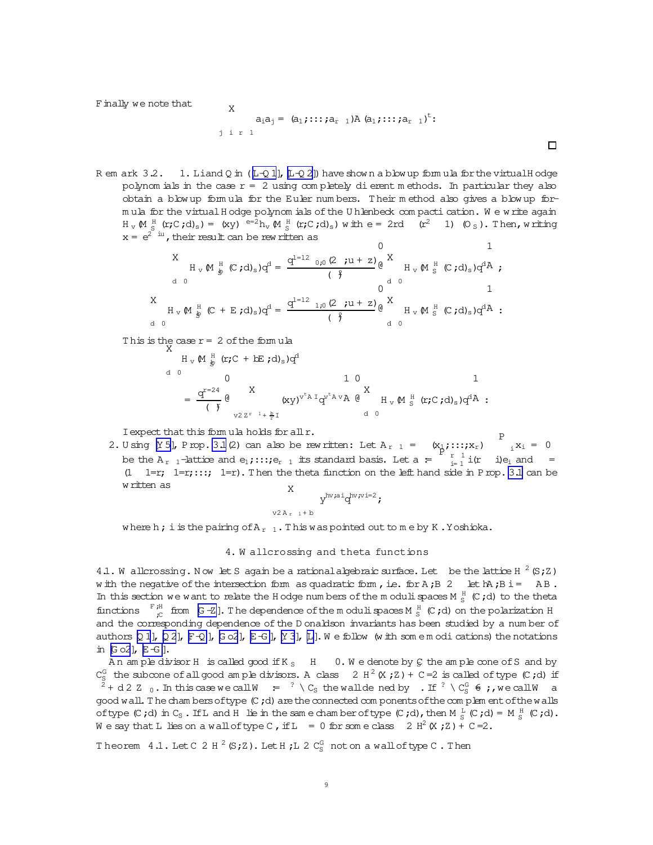<span id="page-8-0"></span>F inally we note that

X  

$$
a_1a_1 = (a_1; \dots; a_{r-1})A (a_1; \dots; a_{r-1})^t:
$$

R em ark  $3.2.$  1. Liand Q in ( $[L-Q 1]$  $[L-Q 1]$ ,  $[L-Q 2]$ ) have show n a blow up form ula for the virtual H odge polynom ials in the case  $r = 2$  using completely dierent methods. In particular they also obtain a blow up form ula for the Euler num bers. T heir m ethod also gives a blow up form ula for the virtual H odge polynom ials of the U hlenbeck compacti cation. We write again  $H_V M_S^H$  ( $r;C;d$ )s) = (xy)  $e^{-2}h_V M_S^H$  ( $r;C;d$ )s) with  $e = 2rd$  ( $r^2$  1) (0s). Then, writing  $x = e^{2^{i}t}$ , their result can be rew ritten as  $\cap$ 

$$
H_{v} M_{\frac{1}{2}}^{H} (C; d)_{s}) q^{d} = \frac{q^{1-12} {}_{0,0} (2 ; u+z)}{(q)} \begin{array}{ccc} & & 1 \\ & H_{v} M_{S}^{H} (C; d)_{s}) q^{d} A \\ & & 0 \\ & & 0 \\ & & 1 \end{array}
$$
  
\n
$$
H_{v} M_{\frac{1}{2}}^{H} (C + E; d)_{s}) q^{d} = \frac{q^{1-12} {}_{1,0} (2 ; u+z)}{(q)} \begin{array}{ccc} & 1 \\ & H_{v} M_{S}^{H} (C; d)_{s}) q^{d} A \\ & & 1 \end{array}
$$
  
\n
$$
H_{v} M_{\frac{1}{2}}^{H} (C; d)_{s}) q^{d} A
$$
  
\n
$$
H_{v} M_{\frac{1}{2}}^{H} (C; d)_{s}) q^{d} A
$$

This is the case  $r = 2$  of the formula  $X$ 

$$
H_{v} M \frac{H}{g} (r; C + bE ; d)_{s}) q^{d}
$$
\n
$$
= \frac{q^{r=24}}{(r)} \frac{X}{(r^{2} + \frac{b}{r})^{r}} \left(\frac{X}{x^{2^{r-1} + \frac{b}{r}}}\right)^{v^{t} A} q^{v^{t} A v} \left(\frac{X}{x^{2^{r}}} \right) + \frac{b}{r^{2}} \left(\frac{Y}{x^{2^{r-1} + \frac{b}{r}}}\right)
$$
\nd

Iexpect that this form ula holds for allr.

2. U sing  $[Y 5]$ , Prop. [3.1](#page-6-0)(2) can also be rew ritten: Let  $A_{r-1} = (x_{1j};...,x_{r})$ P  $i \times i = 0$ be the A<sub>r 1</sub>-lattice and e<sub>1</sub>;::;  $e_{r-1}$  its standard basis. Let a  $=$  $\frac{1}{p}$ ,  $\frac{1}{p+1}$  $\int_{i=1}^{r} i(r - i)e_i$  and =  $(1 \quad 1=r; 1=r; \ldots; 1-r)$ . Then the theta function on the left hand side in Prop. [3.1](#page-6-0) can be  $w$  ritten as  $\frac{1}{x}$ 

$$
\sum_{v2\,A_{r-1}+b}^{h v \text{ai}} q^{hv \text{iv}i=2};
$$

where h; i is the pairing of  $A_{r-1}$ . This was pointed out to me by K.Yoshioka.

## 4. W allcrossing and theta functions

4.1. W allcrossing. Now let S again be a rational algebraic surface. Let be the lattice H  $^2$  (S;Z) w ith the negative of the intersection form as quadratic form, i.e. for  $A$ ; $B$  2 let  $h$ ?,  $B$  i = A B. In this section we want to relate the H odge num bers of the m oduli spaces M  $^{\text{H}}_{\text{S}}$  (C;d) to the theta functions  $F_{c}^{H}$  from  $[G - Z]$ . The dependence of the moduli spaces M  $_{S}^{H}$  (C;d) on the polarization H and the corresponding dependence of the D onaldson invariants has been studied by a num ber of authors  $[Q 1]$  $[Q 1]$ ,  $[Q 2]$  $[Q 2]$ ,  $[F - Q]$ ,  $[G - G]$ ,  $[G - G]$ ,  $[G]$ .  $[L]$  $[L]$ . We follow (w ith some m odi cations) the notations in  $[G \circ 2]$ ,  $E-G$  ].

An am ple divisor H is called good if K<sub>S</sub> H 0. W e denote by G the am ple cone of S and by  $C_S^G$  the subcone of all good am ple divisors. A class 2 H<sup>2</sup> (X;Z) + C=2 is called of type (C;d) if <sup>2</sup> + d 2 Z <sup>0</sup>.In thiscase we callW := ? \ C<sup>S</sup> thewalldened by .If ? \ C<sup>G</sup> <sup>S</sup> 6= ;,we callW a good wall. The cham bers of type  $(C, d)$  are the connected com ponents of the com plem ent of the walls oftype  $(C; d)$  in  $C_S$ . If and H lie in the same chamber of type  $(C; d)$ , then  $M_S^L(C; d) = M_S^H(C; d)$ . We say that L lies on a wall of type C, if L = 0 for some class  $2 H^2(X;Z) + C=2$ .

Theorem  $4.1$ . Let C  $2$  H  $^{2}$  (S;Z). Let H ;L  $2$  C $_{\rm S}^{\rm G}$  noton a wall of type C . Then

 $\Box$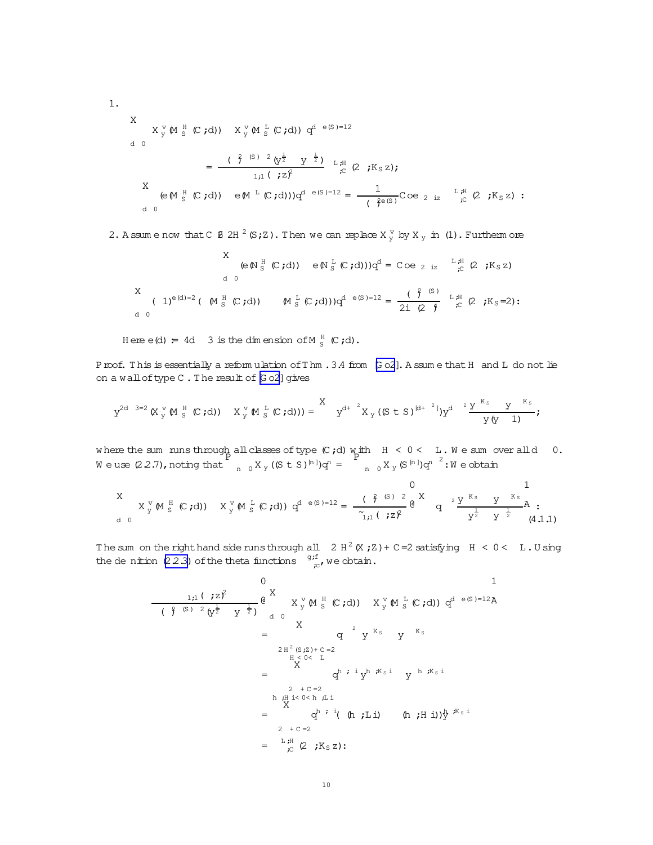<span id="page-9-0"></span>1.  
\n
$$
X_{y}^{V} M_{S}^{H} (C; d) = \frac{(\frac{2}{3} (S^{2} C^{2} C^{2}))}{\frac{1}{1} (S^{2} C^{2} C^{2})} \times \frac{1}{1} (S^{2} C^{2} C^{2} C^{2})}{\frac{1}{1} (S^{2} C^{2} C^{2})} \times \frac{1}{1} (S^{2} C^{2} C^{2})
$$
\n
$$
X_{C} (C^{2} C^{2} C^{2}) = \frac{1}{(S^{2} C^{2} C^{2})} C^{2} C^{2} \times \frac{1}{1} (S^{2} C^{2})
$$
\n
$$
C^{2} C^{2} (S^{2} C^{2}) = \frac{1}{(S^{2} C^{2} C^{2})} C^{2} C^{2} (S^{2} C^{2})
$$
\n
$$
C^{2} C^{2} (S^{2} C^{2}) = \frac{1}{(S^{2} C^{2} C^{2})} C^{2} C^{2} (S^{2} C^{2})
$$

2. A ssum e now that C  $/$   $/$   $/$   $/$   $($   $/$   $/$   $/$   $($   $/$   $\,$   $\,$   $/$   $\,$   $/$   $\,$   $\,$   $/$   $\,$   $/$   $\,$   $/$   $\,$   $/$   $\,$   $/$   $\,$   $/$   $\,$   $/$   $\,$   $/$   $\,$   $/$   $/$   $/$   $\,$   $/$   $\,$   $/$   $\,$   $/$   $\,$   $/$   $\,$ 

X d 0 (e(N H <sup>S</sup> (C ;d)) e(N L <sup>S</sup> (C ;d)))q <sup>d</sup> = C oe<sup>2</sup> iz L ;H ;C (2;K<sup>S</sup> z) X d 0 ( 1)e(d)=<sup>2</sup>( (M H <sup>S</sup> (C ;d)) (M L <sup>S</sup> (C ;d)))q <sup>d</sup> <sup>e</sup>(<sup>S</sup> )=<sup>12</sup> = ( ) 2 (S ) 2i(2 )<sup>4</sup> L ;H ;C (2;K<sup>S</sup> =2):

Here  $e(d) = 4d$  3 is the dim ension of M  $_G^H$  (C;d).

Proof. This is essentially a reform ulation of Thm . 3.4 from [\[G o2](#page-25-0)]. A ssum e that H and L do not lie on a wall of type C. The result of [\[G o2\]](#page-25-0) gives

$$
y^{2d-3=2}\,(X\, {}^{\,v}_{\,y}\,\emptyset\, {}^{\,H}_{\,S}\,\left(\mathbb{C}\, ;d)\,\right)\,-\,X\, {}^{\,v}_{\,y}\,\emptyset\, {}^{\,L}_{\,S}\,\left(\mathbb{C}\, ;d)\,\right))= \begin{array}{c} X \\[1mm] \,Y^{d+2}\, X\, {}_{\,y}\,((S\,\,t\,\,S\,)^{\,[d+2]})Y^{d-2}\, \frac{Y\, {}^{\,K\, {}_{\,S}}\,}{\,Y\,\,Q\,}\, Y} \, ;\\[1mm] \,Y^{2d-3=2}\,\left(X\, {}^{\,v}_{\,y}\,\emptyset\, {}^{\,E}\, {}_{\,S}\, (C\, ;d)\,\right) \end{array}
$$

w here the sum runs through all classes of type  $(C, d)$  with  $H < 0 < L$ . We sum over all d 0. We use  $(2.2.7)$ , noting that P  $_{n}$  0  $X$ <sub>y</sub> ((S t S)<sup>[n]</sup>)q<sup>n</sup> =  $_{\text{n}}$   $_{0}$  X  $_{\text{y}}$  (S  $^{\text{n}}$  ) $\text{q}$ <sup>n  $^2$ </sup> : W e obtain

$$
X \underset{d}{\times} \mathbb{Y} \otimes \mathbb{M} \otimes \mathbb{S} \quad (c,d)
$$

The sum on the right hand side runsthrough all  $2H^2(X;Z)+C=2$  satisfying  $H < 0 < L$ . U sing the de nition [\(2.2.3\)](#page-5-0) of the theta functions  $\frac{q_j f}{r}$ , we obtain.

$$
\frac{1,1 \, (72)^2}{(\frac{2}{7} \, (5)^2 \, (y^{\frac{1}{2}} \, y^{\frac{1}{2}})} \mathbf{e}^{\mathbf{X}} \, \mathbf{X}_y^v \, \mathbf{M}_s^H \, (\mathbf{C}, \mathbf{d}) \, \mathbf{X}_y^v \, \mathbf{M}_s^L \, (\mathbf{C}, \mathbf{d}) \, \mathbf{q}^{\mathbf{d} \, e(S)=12} \mathbf{A}
$$
\n
$$
= \mathbf{X} \qquad \mathbf{q}^2 \, \mathbf{Y}^{K_s} \qquad \mathbf{Y}^{K_s}
$$
\n
$$
= \mathbf{X} \qquad \mathbf{q}^2 \, \mathbf{Y}^{K_s} \qquad \mathbf{Y}^{K_s}
$$
\n
$$
= \mathbf{X} \qquad \mathbf{q}^2 \, \mathbf{Y}^{K_s} \qquad \mathbf{Y}^{K_s}
$$
\n
$$
= \mathbf{Y} \qquad \mathbf{q}^h \, \mathbf{i} \, \mathbf{i} \, \mathbf{y}^h \, \mathbf{j}^k \, \mathbf{k}^i
$$
\n
$$
= \mathbf{Y} \qquad \mathbf{q}^h \, \mathbf{i} \, \mathbf{i} \, \mathbf{y}^h \, \mathbf{j}^k \, \mathbf{k}^i
$$
\n
$$
= \mathbf{Y} \qquad \mathbf{q}^h \, \mathbf{i} \, \mathbf{i} \, (\mathbf{h} \, \mathbf{j} \mathbf{L} \, \mathbf{i}) \qquad (\mathbf{h} \, \mathbf{j} \mathbf{H} \, \mathbf{i}) \} \mathbf{y}^{K_s \, \mathbf{i}}
$$
\n
$$
= \mathbf{Y} \qquad \mathbf{y}^h \, \mathbf{i} \, (\mathbf{r} \, \mathbf{j} \mathbf{k}^h \, \mathbf{j}^h \, \mathbf{y}^h \, \mathbf{k}^h \, \mathbf{k}^h \, \mathbf{y}^h \, \mathbf{y}^h \, \mathbf{y}^h \, \mathbf{y}^h \, \mathbf{y}^h \, \mathbf{y}^h \, \mathbf{y}^h \, \mathbf{y}^h \, \mathbf{y}^h
$$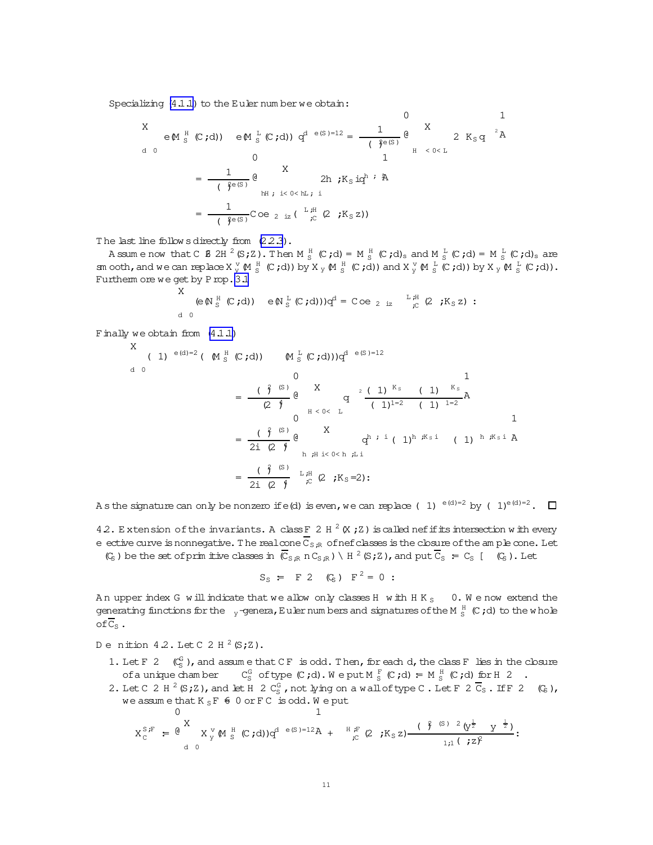<span id="page-10-0"></span>Specializing  $(4.1.1)$  to the Euler num ber we obtain:

$$
X \in M_S^H(C; d) \quad \text{eM } \frac{L}{S}(C; d) \quad q^{d} \in (S) = 12 = \frac{1}{\left(\frac{e}{f}e^{(S)}\right)} \quad \text{eM } \frac{X}{H} \quad \text{2 } K_S q \quad \text{A}
$$
\n
$$
= \frac{1}{\left(\frac{e}{f}e^{(S)}\right)} \quad \text{eM } \quad \text{2} K_S \text{ id} \quad \text{2} K_S \text{ id} \quad \text{2} K_S q \quad \text{2} K_S q \quad \text{2} K_S q \quad \text{2} K_S q \quad \text{2} K_S q \quad \text{2} K_S q \quad \text{2} K_S q \quad \text{2} K_S q \quad \text{2} K_S q \quad \text{2} K_S q \quad \text{2} K_S q \quad \text{2} K_S q \quad \text{2} K_S q \quad \text{2} K_S q \quad \text{2} K_S q \quad \text{2} K_S q \quad \text{2} K_S q \quad \text{2} K_S q \quad \text{2} K_S q \quad \text{2} K_S q \quad \text{2} K_S q \quad \text{2} K_S q \quad \text{2} K_S q \quad \text{2} K_S q \quad \text{2} K_S q \quad \text{2} K_S q \quad \text{2} K_S q \quad \text{2} K_S q \quad \text{2} K_S q \quad \text{2} K_S q \quad \text{2} K_S q \quad \text{2} K_S q \quad \text{2} K_S q \quad \text{2} K_S q \quad \text{2} K_S q \quad \text{2} K_S q \quad \text{2} K_S q \quad \text{2} K_S q \quad \text{2} K_S q \quad \text{2} K_S q \quad \text{2} K_S q \quad \text{2} K_S q \quad \text{2} K_S q \quad \text{2} K_S q \quad \text{2} K_S q \quad \text{2} K_S q \quad \text{2} K_S q \quad \text{2} K_S q \quad \text{2} K_S q \quad \text{2} K_S q \quad \text{2} K_S q \quad \text{2} K_S q \quad \text{2} K_S q \quad \text{2} K_S q \quad \text{2} K_S q \quad \text{2} K_S q \quad \text{2} K_S q \quad \text{2} K_S q \quad \text{2} K_S q \
$$

The last line follow s directly from  $(2.2.3)$ .

Assume now that C  $\beta$  2H  $^2$  (S;Z). Then M  $_{\text{S}}^{\text{H}}$  (C;d) = M  $_{\text{S}}^{\text{H}}$  (C;d)<sub>s</sub> and M  $_{\text{S}}^{\text{L}}$  (C;d) = M  $_{\text{S}}^{\text{L}}$  (C;d)<sub>s</sub> are sm ooth, and we can replace  $X y W_S^H(C; d)$  by  $X y M_S^H(C; d)$  and  $X y W_S^H(C; d)$  by  $X y M_S^L(C; d)$ . Furtherm ore we get by Prop. 3.1 X

$$
\begin{array}{lll}\n\text{A} & \text{if } (\mathcal{C} \mathbf{A}) & \text{if } (\mathcal{C} \mathbf{A}) & \text{if } (\mathcal{C} \mathbf{A}) & \text{if } (\mathcal{C} \mathbf{A})\n\end{array}
$$

Finally we obtain from  $(4.1.1)$ 

X (1) 
$$
e^{(d)=2}
$$
 (M  $\frac{H}{S}$  (C,d))  $(M \frac{L}{S}$  (C,d))) $q^{d} e^{(S)=12}$   
\n
$$
= \frac{(\frac{2}{f})^{(S)}}{(2 \frac{4}{f})} \frac{d}{q} \qquad\nq^{2} \frac{(1)^{K_S} (1)^{K_S}}{(1)^{1-2} (1)^{1-2}}
$$
\n
$$
= \frac{(\frac{2}{f})^{(S)}}{2i (2 \frac{4}{f})} \frac{d}{q} \qquad\nq^{k} i (1)^{h \cancel{K_S} i} (1)^{h \cancel{K_S} i} A
$$
\n
$$
= \frac{(\frac{2}{f})^{(S)}}{2i (2 \frac{4}{f})} \qquad\nL \cancel{H} \ (\frac{2}{f}) \ (\frac{2}{f}) \ (\frac{1}{f})^{h \cancel{K_S} i} (2 \cancel{K_S} = 2)
$$

A s the signature can only be nonzero if e(d) is even, we can replace (1)  $e^{(d)=2}$  by (1) $e^{(d)=2}$ .  $\Box$ 

42. Extension of the invariants. A class F 2 H  $^2$  (X ; Z ) is called nefifits intersection with every e ective curve is nonnegative. The realcone  $\overline{C}_{S:\mathbb{R}}$  of nefclasses is the closure of the am ple cone. Let

 $(\mathbb{C}_{\mathsf{S}})$  be the set of prim itive classes in  $(\overline{\mathbb{C}}_{\mathsf{S},\mathbb{R}} \cap \mathbb{C}_{\mathsf{S},\mathbb{R}}) \setminus H^2(\mathsf{S},\mathsf{Z})$ , and put  $\overline{\mathbb{C}}_{\mathsf{S}} = \mathbb{C}_{\mathsf{S}}$  [  $(\mathbb{C}_{\mathsf{S}})$ . Let

 $S_S$  = F 2 (C<sub>S</sub>) F<sup>2</sup> = 0 :

An upper index G will indicate that we allow only classes H with H K<sub>S</sub> 0. We now extend the generating functions for the  $_{-y}$ -genera, Euler num bers and signatures of the M  $_{\rm S}^{\rm H}$  (C ; d) to the w hole  $of \overline{C}_S$ .

Denition 4.2. Let C 2 H  $^2$  (S;Z).

- 1. Let F 2  $(\mathcal{C}_S^G)$ , and assume that CF is odd. Then, for each d, the class F lies in the closure ofa unique chamber  $C_S^G$  of type  $(C, d)$ . We put  $M_S^F$   $(C, d) = M_S^H$   $(C, d)$  for  $H \nvert 2$ .
- 2. Let C 2 H <sup>2</sup> (S;Z), and let H 2  $C_S^G$ , not lying on a wall of type C. Let F 2  $\overline{C}_S$ . If F 2  $(C_S)$ , we assume that  $K_S F \triangleq 0$  or  $FC$  is odd. We put

$$
X_{C}^{S,F} = \begin{matrix} 0 & 1 \\ & X_{Y}^{S} \in \mathbb{R} \\ & \alpha & 0 \end{matrix} \times X_{Y}^{V} \otimes (S, \mathcal{A})q^{d-e(S)-12}A + \begin{matrix} H_{F}^{F} (2 \ ; K_{S} z) \frac{(\hat{\gamma}^{S})^{S-2} (y^{\frac{1}{2}} \quad y^{-\frac{1}{2}})}{1 \cdot \mu ( \ ; z)^{2}} : \end{matrix}
$$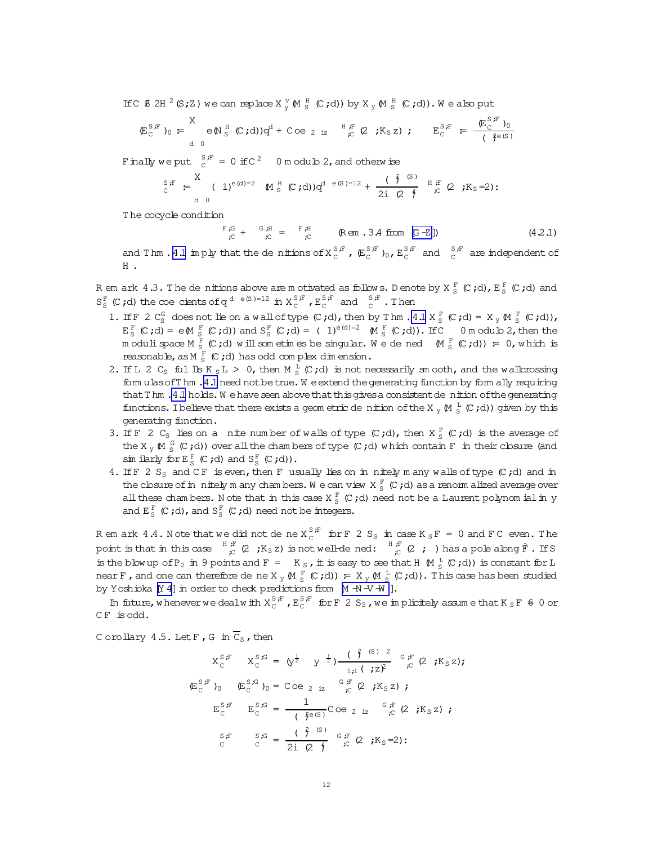<span id="page-11-0"></span>If C  $\beta$  2H  $^2$  (S; Z) we can replace  $X_v^V$   $M_S^H$  (C; d)) by  $X_v$   $M_S^H$  (C; d)). We also put

$$
(\mathbb{E}_{\mathcal{C}}^{S,F})_0 = \begin{array}{cc} X & \text{if } (C, d) \text{ and } C \text{ is a } \\ \text{if } (C, d) \text{ is a } \text{if } (C, d) \text{ is a } \end{array}
$$

Finally we put  $\int_{C}^{S/F}$  = 0 if C<sup>2</sup> 0 m odulo 2, and otherwise

$$
S^{\,s}_{\,c} = \begin{array}{ccccc} S & S & S & S \\ S & S & S & S \end{array} \begin{array}{ccc} \text{(1)}^{\mathsf{e}(d)=2} & \text{(1)}^{\mathsf{e}(d)=2} & \text{(1)}^{\mathsf{e}(d)} & S & S & S \end{array}
$$

The cocycle condition

 $\begin{array}{ccccc}\n\mathbb{F}\, \mathcal{G} & + & \mathbb{G}\, \mathcal{H} & = & \mathbb{F}\, \mathcal{H} \\
\mathcal{L} & & \mathbb{C} & & \mathbb{R}\n\end{array} \qquad \quad \mathbb{R}\, \mathbb{G} \mathbb{n} \quad .3.4 \text{ from } \text{ [G--Z]})$  $(4.2.1)$ 

and Thm . 4.1 im ply that the denitions of  $X_c^{S,F}$ ,  $(\mathbb{E}_c^{S,F})_0$ ,  $\mathbb{E}_c^{S,F}$  and  $\mathbb{E}_c^{S,F}$  are independent of H .

R em ark 4.3. The de nitions above are m otivated as follows. D enote by  $X_S^F(C; d)$ ,  $E_S^F(C; d)$  and  $S_S^F$  (C;d) the coe cients of q<sup>d e(S)=12</sup> in  $X_C^{S,F}$ ,  $E_C^{S,F}$  and  $\overline{S}^F$ . Then

- 1. If F 2  $C_S^G$  does not lie on a wall of type  $(C, d)$ , then by Thm . 4.1  $X_S^F$   $(C, d) = X_y M_S^F$   $(C, d)$ ,<br>  $E_S^F$   $(C, d) = e M_S^F$   $(C, d)$ ) and  $S_S^F$   $(C, d) = (1)^{e(d)-2} M_S^F$   $(C, d)$ . If C 0 m odub 2, then the m oduli space  $M_S^F$  (C;d) will sometimes be singular. We dened  $(M_S^F$  (C;d)) = 0, which is reasonable, as  $M_S^F(C; d)$  has odd complex dimension.
- 2. If L 2 C<sub>S</sub> ful lls K<sub>S</sub>L > 0, then M<sub>S</sub><sup>L</sup></sub> (C;d) is not necessarily sm ooth, and the wallcrossing form ulas of Thm . 4.1 need not be true. We extend the generating function by form ally requiring that T hm . 4.1 holds. We have seen above that this gives a consistent denition of the generating functions. I believe that there exists a geometric denition of the X<sub>y</sub>  $\mathbb{M} \stackrel{L}{\scriptscriptstyle\sim}$  (C;d)) given by this generating function.
- 3. If F 2 C<sub>S</sub> lies on a nite number of walls of type  $(C, d)$ , then  $X_S^F(C, d)$  is the average of the X<sub>y</sub>  $\mathbb{M} \stackrel{G}{\subset} (\mathcal{C}, d)$  over all the chambers of type  $(\mathcal{C}, d)$  which contain F in their closure (and simularly for  $E_S^F$  (C;d) and  $S_S^F$  (C;d)).
- 4. If F 2 S<sub>S</sub> and CF is even, then F usually lies on in nitely many walls of type  $(C, d)$  and in the closure of in nitely m any chambers. We can view  $X \frac{F}{S}$  (C;d) as a renorm alized average over all these chambers. Note that in this case  $X_S^F$  (C;d) need not be a Laurent polynom ial in y and  $E_S^F$  (C;d), and  $S_S^F$  (C;d) need not be integers.

R em ark 4.4. Note that we did not de ne  $X_C^{S,F}$  for F 2  $S_S$  in case  $K_S F = 0$  and F C even. The point is that in this case  ${}^{H}{}_{,C}^{F}$  (2,  ${}_{,K_S Z}$ ) is not well-de ned:  ${}^{H}{}_{,C}^{F}$  (2, i) has a pole along  $F$ . If S is the blow up of P<sub>2</sub> in 9 points and F = K<sub>S</sub>, it is easy to see that H  $\otimes$   $_K^L$  (C;d)) is constant for L near F, and one can therefore de ne X  $_{\rm V}$  (M  $_{\rm s}^{\rm F}$  (C;d)) = X  $_{\rm V}$  (M  $_{\rm s}^{\rm I}$  (C;d)). This case has been studied by Yoshioka [Y 4] in order to check predictions from [M -N -V -W ].

In future, whenever we dealw ith  $X_c^{S,F}$ ,  $E_c^{S,F}$  for F 2  $S_S$ , we in plicitely assume that  $K_S F$   $\neq 0$  or CF is odd.

Corollary 4.5. Let  $F$ ,  $G$  in  $\overline{C}_S$ , then

$$
X_C^{S,F} \t X_C^{S,G} = \left(y^{\frac{1}{2}} \t y^{\frac{1}{2}}\right) \frac{\left(\frac{\vartheta}{J} \right)^{(S)/2}}{\frac{1}{J!(1 + 2)^2}} e_F^{F}(2 ; K_S z);
$$
  
\n
$$
E_C^{S,F} \t D_0 \t E_C^{S,G} = \frac{1}{\left(\frac{\vartheta}{J}(S)\right)} C_0 e_{2 i z}^{G,F}(2 ; K_S z);
$$
  
\n
$$
E_C^{S,F} \t E_C^{S,G} = \frac{1}{\left(\frac{\vartheta}{J}(S)\right)} C_0 e_{2 i z}^{G,F}(2 ; K_S z);
$$
  
\n
$$
S_F^{S,F} \t S_G = \frac{\left(\frac{\vartheta}{J}(S)\right)}{2i (2 + 2)^2} G_F^{F}(2 ; K_S = 2);
$$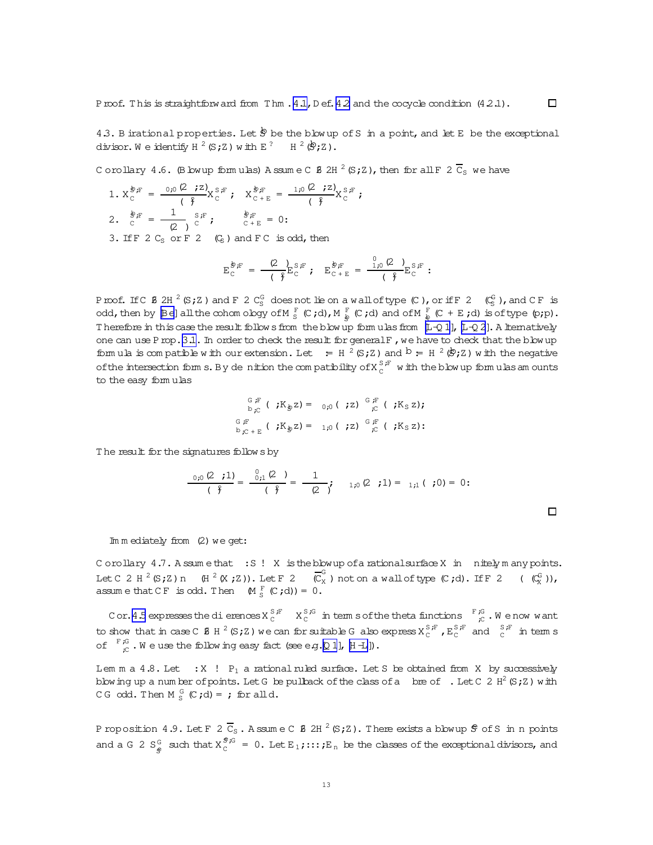<span id="page-12-0"></span>4.3. B irational properties. Let  $\dot{\mathcal{P}}$  be the blow up of S in a point, and let E be the exceptional divisor. We identify  $H^2(S;Z)$  with  $E^2$   $H^2(\mathcal{D};Z)$ .

Corollary 4.6. (B bwup formulas) Assume C  $\beta$  2H  $^2$  (S; Z), then for all F 2  $\overline{C}_S$  we have

1.  $X_C^{\oint E} = \frac{0.0 (2 \cdot z)}{2} X_C^{S,F}$ ;  $X_{C+E}^{\oint E} = \frac{1.0 (2 \cdot z)}{2} X_C^{S,F}$ ; 2.  $\frac{\dot{\mathcal{B}}}{c} = \frac{1}{(2)} \int_{c}^{S/F}$ ;  $\frac{\dot{\mathcal{B}}}{c} = 0$ ; 3. If  $F 2 C_S$  or  $F 2 (C_S)$  and  $F C$  is odd, then

$$
E_C^{\oint E} = \frac{Q}{\left(\oint E_C^S F\right)} E_{C}^F + E_{C+E}^{\oint E} = \frac{C_{10}(Q)}{\left(\oint E_C^S F\right)} E_{C}^F.
$$

Proof. If C **8** 2H <sup>2</sup> (S; Z ) and F 2 C<sub>S</sub><sup>G</sup> does not lie on a wall of type (C), or if F 2 (C<sub>S</sub><sup>G</sup>), and C F is odd, then by [Be] all the cohom ology of M  $_S^F$  (C;d), M  $_{\frac{1}{2}}^F$  (C;d) and of M  $_{\frac{1}{8}}^F$  (C + E; Therefore in this case the result follows from the blow up form ulas from  $[L - Q 1]$ ,  $[L - Q 2]$ . A liternatively one can use P rop. 3.1. In order to check the result for general F, we have to check that the blow up formula is compatible with our extension. Let  $=$   $\frac{1}{2}$  (S;Z) and  $\frac{1}{2}$  =  $\frac{1}{2}$  ( $\frac{1}{2}$ ) with the negative of the intersection form s. By denition the compatibility of  $X_{c}^{S,F}$  with the blow up formulas amounts to the easy formulas

$$
\begin{array}{ccccc}\nG \underset{\mathbf{p}}{\mathbb{F}} & (\mathbf{p} \times \mathbf{K}_{\mathbf{p}} \mathbf{z}) = & 0_{\mathbf{p}0} (\mathbf{p} \times \mathbf{z}) & \underset{\mathbf{p} \in \mathbf{F}}{\mathbb{G}} (\mathbf{p} \times \mathbf{K}_{\mathbf{S}} \mathbf{z}) & \underset{\mathbf{p} \in \mathbf{F}}{\mathbb{G}} \mathbb{F} & (\mathbf{p} \times \mathbf{K}_{\mathbf{p}} \mathbf{z}) = & \underset{\mathbf{p} \in \mathbf{F}}{\mathbb{G}} \mathbb{F} & (\mathbf{p} \times \mathbf{K}_{\mathbf{p}} \mathbf{z}) = & \underset{\mathbf{p} \in \mathbf{F}}{\mathbb{G}} & (\mathbf{p} \times \mathbf{K}_{\mathbf{p}} \mathbf{z}) & \underset{\mathbf{p} \in \mathbf{F}}{\mathbb{G}} & (\mathbf{p} \times \mathbf{K}_{\mathbf{p}} \mathbf{z}) & \underset{\mathbf{p} \in \mathbf{F}}{\mathbb{G}} & (\mathbf{p} \times \mathbf{K}_{\mathbf{p}} \mathbf{z}) & \underset{\mathbf{p} \in \mathbf{F}}{\mathbb{G}} & (\mathbf{p} \times \mathbf{K}_{\mathbf{p}} \mathbf{z}) & \underset{\mathbf{p} \in \mathbf{F}}{\mathbb{G}} & (\mathbf{p} \times \mathbf{K}_{\mathbf{p}} \mathbf{z}) & \underset{\mathbf{p} \in \mathbf{F}}{\mathbb{G}} & (\mathbf{p} \times \mathbf{K}_{\mathbf{p}} \mathbf{z}) & \underset{\mathbf{p} \in \mathbf{F}}{\mathbb{G}} & (\mathbf{p} \times \mathbf{K}_{\mathbf{p}} \mathbf{z}) & \underset{\mathbf{p} \in \mathbf{F}}{\mathbb{G}} & (\mathbf{p} \times \mathbf{K}_{\mathbf{p}} \mathbf{z}) & \underset{\mathbf{p} \in \mathbf{F}}{\mathbb{G}} & (\mathbf{p} \times \mathbf{K}_{\mathbf{p}} \mathbf{z}) & \underset{\mathbf{p} \in \mathbf{F}}{\mathbb{G}} & (\mathbf{p} \times \mathbf{K}_{\mathbf{p}} \mathbf{z}) & \underset{\
$$

The result for the signatures follows by

$$
\frac{0.0 (2 \t i 1)}{3} = \frac{0.0 (2 \t i 1)}{3} = \frac{1}{3} = \frac{1}{3} = \frac{1}{3} = \frac{1}{3} = \frac{1}{3} = \frac{1}{3} = \frac{1}{3} = \frac{1}{3} = \frac{1}{3} = \frac{1}{3} = \frac{1}{3} = \frac{1}{3} = \frac{1}{3} = \frac{1}{3} = \frac{1}{3} = \frac{1}{3} = \frac{1}{3} = \frac{1}{3} = \frac{1}{3} = \frac{1}{3} = \frac{1}{3} = \frac{1}{3} = \frac{1}{3} = \frac{1}{3} = \frac{1}{3} = \frac{1}{3} = \frac{1}{3} = \frac{1}{3} = \frac{1}{3} = \frac{1}{3} = \frac{1}{3} = \frac{1}{3} = \frac{1}{3} = \frac{1}{3} = \frac{1}{3} = \frac{1}{3} = \frac{1}{3} = \frac{1}{3} = \frac{1}{3} = \frac{1}{3} = \frac{1}{3} = \frac{1}{3} = \frac{1}{3} = \frac{1}{3} = \frac{1}{3} = \frac{1}{3} = \frac{1}{3} = \frac{1}{3} = \frac{1}{3} = \frac{1}{3} = \frac{1}{3} = \frac{1}{3} = \frac{1}{3} = \frac{1}{3} = \frac{1}{3} = \frac{1}{3} = \frac{1}{3} = \frac{1}{3} = \frac{1}{3} = \frac{1}{3} = \frac{1}{3} = \frac{1}{3} = \frac{1}{3} = \frac{1}{3} = \frac{1}{3} = \frac{1}{3} = \frac{1}{3} = \frac{1}{3} = \frac{1}{3} = \frac{1}{3} = \frac{1}{3} = \frac{1}{3} = \frac{1}{3} = \frac{1}{3} = \frac{1}{3} = \frac{1}{3} = \frac{1}{3} = \frac{1}{3} = \frac{1}{3} = \frac{1}{3} = \frac{1}{3} = \frac{1}{3} = \frac{1}{3} = \frac{1}{3} = \frac{1}{3} = \frac{1}{3} = \frac{1}{3} = \frac{1}{3} = \frac{1}{3} = \frac{1}{3} = \frac{1
$$

#### $Im m$  ediately from  $(2)$  we get:

Corollary 4.7. Assumethat : S! X is the blow up of a rational surface X in nitely m any points. Let C 2 H <sup>2</sup> (S; Z) n (H <sup>2</sup> (X; Z)). Let F 2 ( $\overline{C}_X^G$ ) not on a wall of type (C; d). If F 2 ( $\overline{C}_X^G$ ), assume that CF is odd. Then  $M_S^F(C; d) = 0$ .

Cor. 4.5 expresses the dierences  $X_c^{S,F}$   $X_c^{S,G}$  in term s of the theta functions  $F_{c}^{G}$ . We now want to show that in case C  $8$  H  $^2$  (S; Z) we can for suitable G also express  $X_c^{S,F}$ ,  $E_c^{S,F}$  and  $C_c^{S,F}$  in term s of  $\Gamma_{c}^{F,G}$ . We use the following easy fact (see e.g. [Q 1], [H -L]).

Lem m a 4.8. Let :  $X$  !  $P_1$  a rational ruled surface. Let S be obtained from X by successively blowing up a num ber of points. Let G be pullback of the class of a bre of . Let C 2  $H^2(S;Z)$  with CG odd. Then  $M_S^G$  (C;d) = ; for all d.

P roposition 4.9. Let F 2  $\overline{C}_S$ . A ssume C Ø 2H  $^2$  (S; Z). There exists a blowup  $\hat{S}$  of S in n points and a G 2  $S_e^G$  such that  $X_c^{g,G} = 0$ . Let  $E_1$ ;:::;  $E_n$  be the classes of the exceptional divisors, and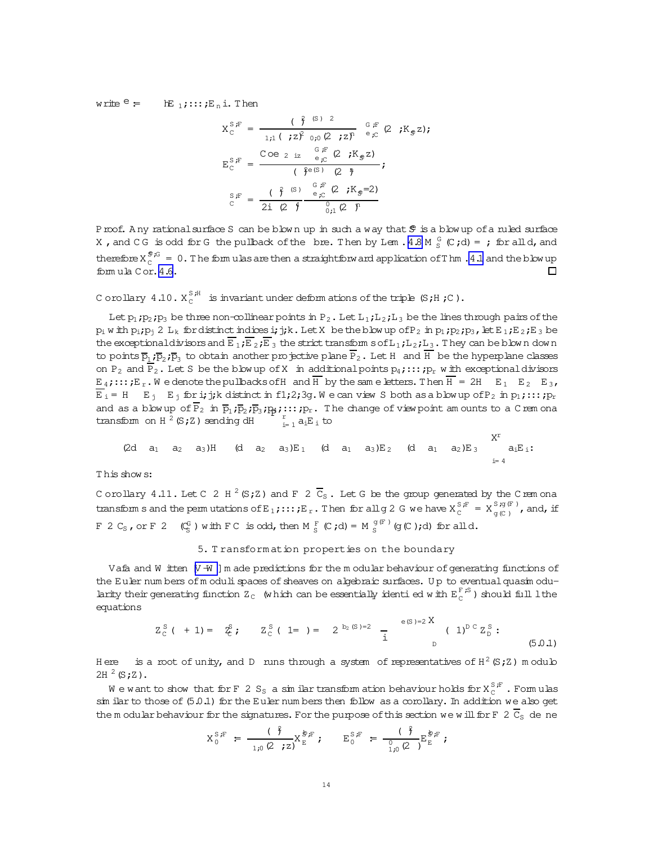<span id="page-13-0"></span>write  $e = \mathbb{E}_{1}$ :::: $E_n$ i. Then

$$
X_{C}^{S,F} = \frac{(\iint \beta^{(S)} 2}{1;1 (\cdot z \beta_{0,0} (2 \cdot z)^{n})} e_{C}^{F} (2 \cdot K_{g} z);
$$
  
\n
$$
E_{C}^{S,F} = \frac{Coe_{2 \text{ iz}} e_{C}^{F} (2 \cdot K_{g} z)}{1} ;
$$
  
\n
$$
E_{C}^{S,F} = \frac{(\iint \beta^{(S)} 2) e_{C}^{F} (2 \cdot K_{g} z)}{1} ;
$$
  
\n
$$
E_{C}^{S,F} = \frac{(\iint \beta^{(S)} e_{C}^{F} (2 \cdot K_{g} z)}{1} ;
$$

Proof. Any rational surface S can be blown up in such a way that \$ is a blow up of a ruled surface X, and CG is odd for G the pullback of the bre. Then by Lem.  $4.8 M \frac{G}{S}$  (C;d) = ; for all d, and therefore  $X_c^{\mathcal{F},G} = 0$ . The formulas are then a straightforw ard application of Thm . 4.1 and the blow up fomula Cor. 4.6.  $\Box$ 

C orollary 4.10.  $X_c^{S,H}$  is invariant under deform ations of the triple (S;H;C).

Let  $p_1$ ;  $p_2$ ;  $p_3$  be three non-collinear points in  $P_2$ . Let  $L_1$ ;  $L_2$ ;  $L_3$  be the lines through pairs of the  $p_i$  w ith  $p_i$ ;  $p_i$  2  $L_k$  for distinct indices i; j; k. Let X be the blow up of  $P_2$  in  $p_1$ ;  $p_2$ ;  $p_3$ , let  $E_1$ ;  $E_2$ ;  $E_3$  be the exceptional divisors and  $\overline{E}_1$ ;  $\overline{E}_2$ ;  $\overline{E}_3$  the strict transform s of  $L_1$ ;  $L_2$ ;  $L_3$ . They can be blown down to points  $\overline{p}_1$ ;  $\overline{p}_2$ ;  $\overline{p}_3$  to obtain another projective plane  $P_2$ . Let H and H be the hyperplane classes on P<sub>2</sub> and P<sub>2</sub>. Let S be the blow up of X in additional points  $p_4$ ; :::;  $p_r$  with exceptional divisors  $E_4$ ;:::; $E_r$ . We denote the pullbacks of H and H by the same letters. Then  $H = 2H$   $E_1$   $E_2$   $E_3$ ,  $\overline{E}_i$  = H  $E_j$   $E_j$  for i; j; k distinct in f1; 2; 3g. We can view S both as a blow up of P<sub>2</sub> in p<sub>1</sub>; :::; p<sub>r</sub> and as a blow up of  $\overline{P}_2$  in  $\overline{p}_1$ ;  $\overline{p}_2$ ;  $\overline{p}_3$ ;  $p_4$ ; :::;  $p_r$ . The change of view point am ounts to a C rem ona transform on H  $^2$  (S; Z) sending dH  $\frac{r}{r}$  a<sub>i</sub>E<sub>i</sub> to

$$
(2d \quad a_1 \quad a_2 \quad a_3)H \quad (d \quad a_2 \quad a_3)E_1 \quad (d \quad a_1 \quad a_3)E_2 \quad (d \quad a_1 \quad a_2)E_3 \quad a_1E_1:
$$

vr

This show s:

C orollary 4.11. Let C 2 H  $^2$  (S; Z) and F 2  $\overline{C}_s$ . Let G be the group generated by the C rem ona transforms and the permutations of  $E_1$ ;:::; $E_r$ . Then for all g 2 G we have  $X_c^{S,F} = X_{g(c)}^{S,g(F)}$ , and, if F 2 C<sub>S</sub>, or F 2 (C<sub>S</sub>) with F C is odd, then M  $_5^F$  (C;d) = M  $_5^{g(F)}$  (g(C);d) for all d.

# 5. Transformation properties on the boundary

Vafa and W itten [V -W ] m ade predictions for the m odular behaviour of generating functions of the Euler numbers of moduli spaces of sheaves on algebraic surfaces. Up to eventual quasimodularity their generating function  $Z_c$  (which can be essentially identi ed with  $E_c^{F, S}$ ) should full l the equations

$$
Z_C^S
$$
 (+ 1) =  $Z_C^S$ ;  $Z_C^S$  ( 1= ) =  $2^{b_2(S)=2}$  =  $\frac{e(S)=2X}{i}$  ( 1)<sup>D C</sup>  $Z_D^S$  : (5.0.1)

Here is a root of unity, and D runs through a system of representatives of  $H^2(S;Z)$  m odulo  $2H^2(S;Z)$ .

We want to show that for F 2 S<sub>S</sub> a similar transform ation behaviour holds for  $X_c^{S,F}$ . Formulas  $\sin$  ilar to those of  $(5.0.1)$  for the Euler numbers then follow as a corollary. In addition we also get the m odular behaviour for the signatures. For the purpose of this section we will for F 2  $\overline{C}_S$  de ne

$$
X_0^{S,F} = \frac{(\gamma^2)}{1,0 \ (2,7^2)} X_E^{\frac{1}{2}F}; \qquad E_0^{S,F} = \frac{(\gamma^2)}{1,0 \ (2,7^2)} E_E^{\frac{1}{2}F};
$$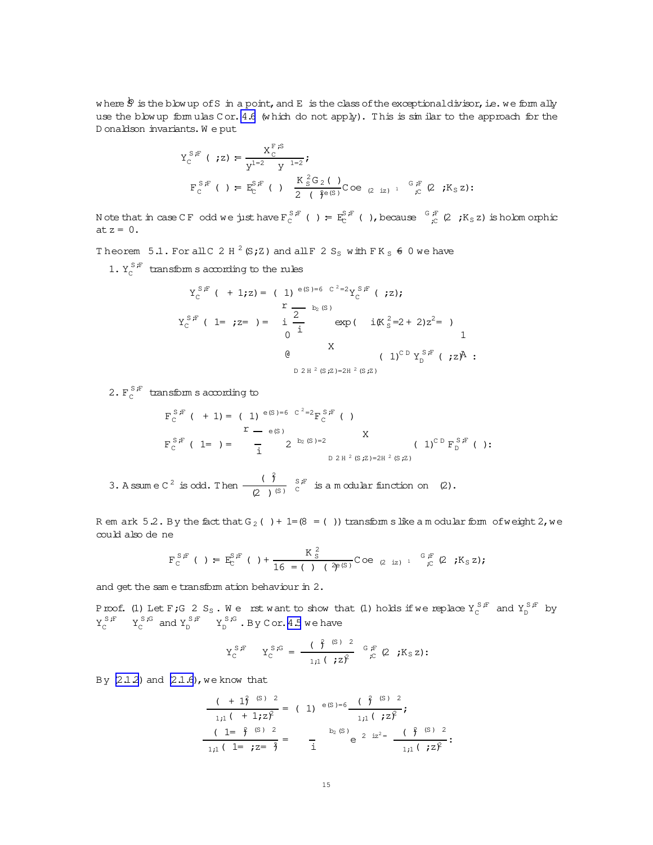where  $\dot{\mathcal{S}}$  is the blow up of S in a point, and E is the class of the exceptional divisor, i.e. we form ally use the blow up formulas Cor. 4.6 (which do not apply). This is similar to the approach for the Donaldson invariants. We put

$$
Y_{C}^{S,F} ( ;z) = \frac{X_{C}^{F,S}}{Y^{1=2} Y^{1=2}} ;
$$
  
\n
$$
F_{C}^{S,F} ( ) = E_{C}^{S,F} ( ) \frac{K_{S}^{2}G_{2} ( )}{2 ( } C^{O}C_{Z}^{1} z)^{-1} { }_{C}^{G,F} ( 2 ;K_{S} z) ;
$$

N ote that in case CF odd we just have  $F_c^{S,F}$  ( ) =  $E_c^{S,F}$  ( ), because  $G_c^{S,F}$  (2 ; K<sub>S</sub> z) is holomorphic at  $z = 0$ .

Theorem 5.1. For all C 2 H  $^2$  (S; Z) and all F 2 S<sub>S</sub> with F K<sub>S</sub>  $\neq$  0 we have

1.  $Y_{\rm C}^{S,F}$  transform s according to the rules

$$
Y_{C}^{S,F} ( + 1;z) = ( 1) ^{e(S) = 6} C^{2} = 2Y_{C}^{S,F} ( ;z);
$$
\n
$$
Y_{C}^{S,F} ( 1 = ;z = ) = \begin{array}{cc} \frac{2}{1} & \exp(-i(K_{S}^{2} = 2 + 2)z^{2} = )\\ 0 & \end{array}
$$
\n
$$
Q \qquad ( 1)^{C D} Y_{D}^{S,F} ( ;z)^{A} :
$$
\n
$$
D 2 H^{2}(S;z) = 2H^{2}(S;z)
$$

2.  $F_c^{S,F}$  transform s according to

$$
F_C^{S,F} ( + 1) = ( 1) ^{e(S) = 6} C^{2=2} F_C^{S,F} ( )
$$
  
\n
$$
F_C^{S,F} ( 1 = ) = - \frac{1}{1} 2^{b_2(S) = 2}
$$
  
\n
$$
D 2 H^2 (S,Z) = 2H^2 (S,Z)
$$
  
\n( 1)<sup>C D</sup> F\_D^{S,F} ( ):

3. A ssum e C<sup>2</sup> is odd. Then  $\frac{(\hat{\beta})}{(2 - \beta)^{(S)}}$   $\stackrel{S.F}{C}$  is a modular function on (2).

R em ark 5.2. By the fact that  $G_2$  ( ) + 1=  $(8 = 1)$ ) transform slike a modular form of weight 2, we could also de ne

$$
F_C^{S,F} ( ) = E_C^{S,F} ( ) + \frac{K_S^2}{16 - ( ) ( \partial_{\mathcal{F}}^{(S)} Coe_{(2)iz)^{-1}}} \mathbb{C} e_{(2)iz)^{-1}}^{G,F} (2 ; K_S z);
$$

and get the same transform ation behaviour in 2.

Proof. (1) Let F; G 2 S<sub>S</sub>. We rst want to show that (1) holds if we replace  $Y_C^{S,F}$  and  $Y_D^{S,F}$  by  $Y_C^{S,F}$   $Y_C^{S,G}$  and  $Y_D^{S,F}$   $Y_D^{S,G}$ . By Cor. 4.5 we have

$$
Y_C^{S,F} \t Y_C^{S,G} = \frac{(\beta^{S})^2}{1\pi(\beta^{S})^2} \Big|_{\substack{G,F \\ \mathcal{F}}} (2 \beta^{S}) :
$$

By  $(2.1.2)$  and  $(2.1.6)$ , we know that

$$
\frac{(1+1)^2 (s)^2}{1;1 (1+i z)^2} = (1) e(s) = 6 \frac{(1+1) (1+1) z^2}{1;1 (1+i z)^2};
$$
  

$$
\frac{(1-1+1) (1+1) z^2}{1;1 (1+i z)^2} = \frac{1+1} {1} (1+1) z^2
$$
  

$$
\frac{1}{1;1 (1+i z)^2} = \frac{1+1} {1} (1+1) z^2
$$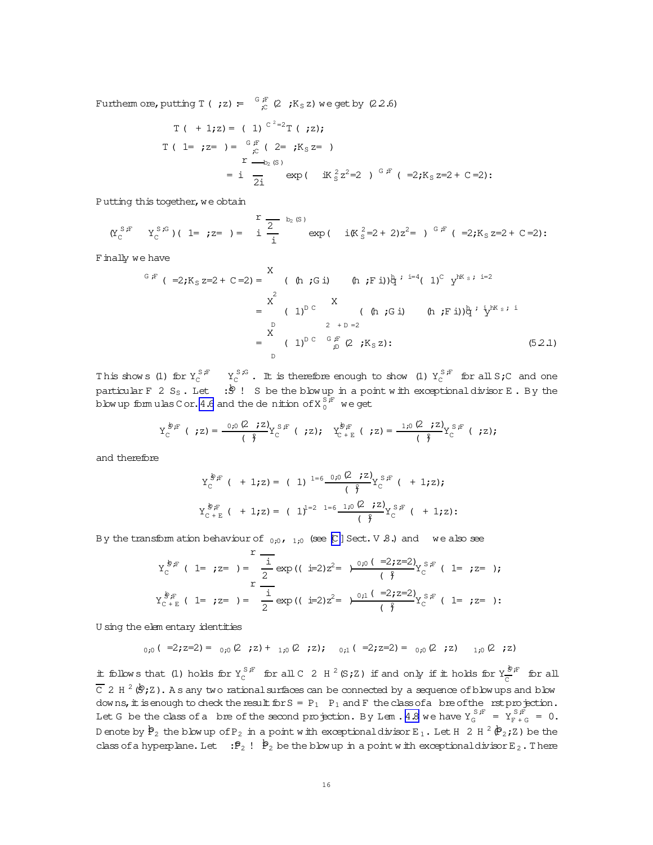Furtherm ore, putting  $T$  ( ;z) =  $\frac{G}{C}$  (2 ;K<sub>S</sub> z) we get by (22.6)

T ( + 1;z) = ( 1) 
$$
C^{2}=2T
$$
 ( ;z);  
\nT ( 1= ;z= ) =  $\int_{C}^{G} \int_{C}^{F} (2 = jK_{S}z= )$   
\n= i  $\frac{1}{2i}$  exp ( iK<sub>S</sub><sup>2</sup>z<sup>2</sup>=2 )  $\int_{C}^{G}F$  ( =2;K<sub>S</sub>z=2+C=2):

Putting this together, we obtain

$$
(\Upsilon_{C}^{S,F} - \Upsilon_{C}^{S,G})(1 = ; z = ) = \frac{r}{i} \frac{2}{i} \text{ exp} (i \text{ if } \Upsilon_{S}^{2} = 2 + 2)z^{2} = )^{G,F} (-2; K_{S} z = 2 + C = 2);
$$

Finally we have

$$
{}^{G, F} ( =2; K_S z = 2 + C = 2 ) = \n\begin{array}{ccc}\nX & (h; G \text{ i}) & (h; F \text{ i}) \frac{h}{2} i^{-1} (1)^C y^{hK_S} i^{-1} = 2 \\
X & = & (1)^D C \n\end{array}
$$
\n
$$
= \n\begin{array}{ccc}\nX & (h; G \text{ i}) & (h; F \text{ i}) \frac{h}{2} i^{\frac{h}{2} K_S} i^{-1} \\
Y & = & (1)^D C \n\end{array}
$$
\n
$$
= \n\begin{array}{ccc}\nY & (h; G \text{ i}) & (h; F \text{ i}) \frac{h}{2} i^{\frac{h}{2} K_S} i^{-1} \\
Y & = & (1)^D C \n\end{array}
$$
\n
$$
= \n\begin{array}{ccc}\nY & (h; G \text{ i}) & (h; F \text{ i}) \frac{h}{2} i^{\frac{h}{2} K_S} i^{-1} \\
Y & = & (52.1)\n\end{array}
$$

This shows (1) for  $Y_C^{S,F}$   $Y_C^{S,G}$ . It is therefore enough to show (1)  $Y_C^{S,F}$  for all  $S,C$  and one particular F 2 S<sub>S</sub>. Let  $\mathbf{B}$ ! S be the blow up in a point with exceptional divisor E. By the blow up formulas C or. 4.6 and the denition of  $\text{X}^{\text{S,F}}_{0}$  we get

$$
Y_C^{\circledast, F} \ (\ ;z) = \frac{0; 0 \ (2 \ ;z)}{(\ \ \ } Y_C^{\circledast, F} \ ( \ ;z); \quad Y_C^{\circledast, F} \ ( \ ;z) = \frac{1; 0 \ (2 \ ;z)}{(\ \ \ } Y_C^{\circledast, F} \ ( \ ;z);
$$

and therefore

$$
Y_C^{\frac{1}{S}F} \t+1; z) = (1)^{1=6} \frac{0; 0 \tZ \t; z}{\left(\tfrac{2}{J}\right)} Y_C^{\frac{S}{S}F} \t+1; z);
$$
  

$$
Y_C^{\frac{1}{S}F} \t+1; z) = (1)^{1=2} \tfrac{1-6}{(1+0) \tZ} \tfrac{1; 0 \tZ \t; z}{\left(\tfrac{2}{J}\right)} Y_C^{\frac{S}{S}F} \t+1; z);
$$

By the transform ation behaviour of  $_{0;0}$ ,  $_{1;0}$  (see [C] Sect. V .8.) and we also see

$$
Y_C^{\frac{1}{S},F} (1 = ;z = ) = \frac{1}{2} \exp ((i=2)z^2 = )\frac{0;0(1=2;z=2)}{(\frac{2}{7})^2} Y_C^{S,F} (1 = ;z = );
$$
  

$$
Y_{C+E}^{\frac{1}{S},F} (1 = ;z = ) = \frac{1}{2} \exp ((i=2)z^2 = )\frac{0;1(1=2;z=2)}{(\frac{2}{7})^2} Y_C^{S,F} (1 = ;z = ):
$$

U sing the elem entary identities

$$
_{0 \; ;0} \; (\;\; =\! 2 \; ;z = 2) = \;\;_{0 \; ;0} \; (2 \;\; ;z) + \;\;_{1 \; ;0} \; (2 \;\; ;z) \; ; \quad \ \, _{0 \; ;1} \; (\;\; =\! 2 \; ;z = 2) = \;\;_{0 \; ;0} \; (2 \;\; ;z) \quad \ \, _{1 \; ;0} \; (2 \;\; ;z)
$$

it follows that (1) holds for  $Y_C^{S,F}$  for all C 2 H <sup>2</sup> (S;Z) if and only if it holds for  $Y_C^{\frac{S}{F},F}$  $\frac{s}{c}$  for all  $\overline{\text{C}}$  2 H  $^2$  ( $\stackrel{\text{6}}{\text{e}}$  ; Z). A s any two rational surfaces can be connected by a sequence of blow ups and blow downs, it is enough to check the result for  $S = P_1$   $P_1$  and F the class of a bre of the rst projection. Let G be the class of a bre of the second projection. By Lem . [4.8](#page-12-0) we have  $Y_S^{S,F} = Y_{F+G}^{S,F} = 0$ . D enote by  $\mathtt{\dot{P}}_2$  the blow up of P $_2$  in a point with exceptionaldivisor E  $_1$  . Let H  $\,$  2 H  $^2$   $(\!\mathtt{\dot{P}}_2\texttt{;z})$  be the class of a hyperplane. Let  $\mathbf{p}_2$  !  $\mathbf{P}_2$  be the blow up in a point with exceptionaldivisor E<sub>2</sub>. There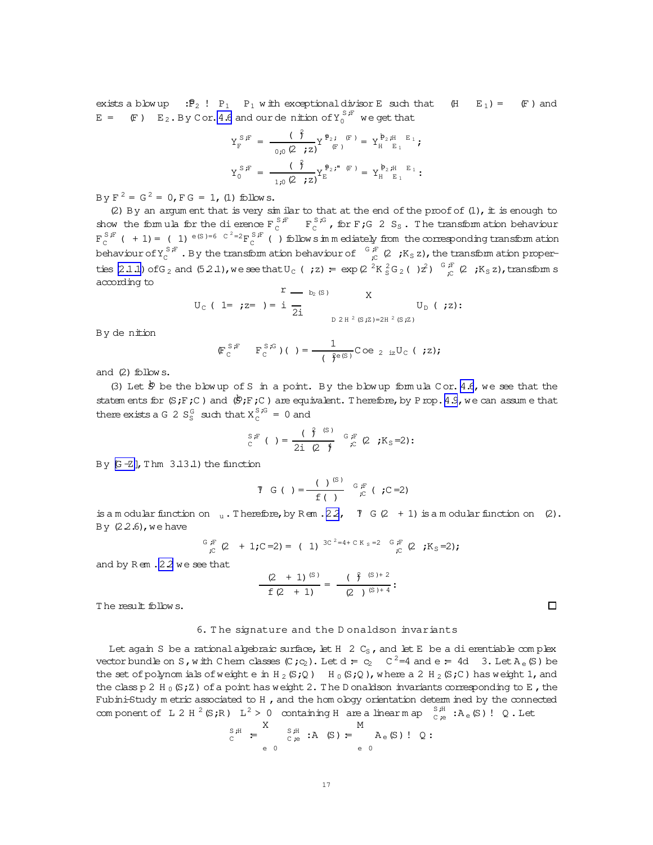<span id="page-16-0"></span>exists a blowup :  $P_2$  !  $P_1$   $P_1$  with exceptional divisor E such that  $(H E_1) = (F)$  and  $E =$  (F)  $E_2$ . By Cor. 4.6 and our de nition of  $Y_0^{S,F}$  we get that

$$
Y_{F}^{S,F} = \frac{(\check{f})}{0.0 (2 \check{f}z)} Y_{F}^{\mathbf{p}_{2} \check{f}}(F) = Y_{H}^{\mathbf{p}_{2} \sharp H} E_{1} \check{f}
$$

$$
Y_{0}^{S,F} = \frac{(\hat{f})}{1.0 (2 \check{f}z)} Y_{E}^{\mathbf{p}_{2} \sharp H} (F) = Y_{H}^{\mathbf{p}_{2} \sharp H} E_{1}.
$$

By  $F^2 = G^2 = 0$ ,  $F G = 1$ , (1) follows.

(2) By an argum ent that is very similar to that at the end of the proof of  $(1)$ , it is enough to show the formula for the dierence  $F_c^{S,F} = F_c^{S,G}$ , for F;G 2 S<sub>S</sub>. The transform at ion behaviour  $F_C^{S,F}$  ( + 1) = ( 1)  $e^{(S) = 6C^2 = 2}F_C^{S,F}$  ( ) follows in mediately from the corresponding transform at ion behaviour of  $Y_c^{S,F}$ . By the transform ation behaviour of  $G_F^{F}(2; K_S Z)$ , the transform ation properties (2.1.1) of G<sub>2</sub> and (5.2.1), we see that U<sub>C</sub> (; z) =  $\exp(2\frac{2K_S^2G_2}{s^2}C_1)^2$ )  $\frac{G_F^T}{s^2}$  (2; K<sub>S</sub>z), transform s according to

$$
U_{C} (1 = ; z = ) = i \frac{r}{2i} U_{D} ( ; z):
$$
  
D 2 H<sup>2</sup> (S; Z)=2H<sup>2</sup> (S; Z)

By de nition

$$
(\mathbb{F}_{\mathbb{C}}^{S \cdot \mathbb{F}} \qquad \mathbb{F}_{\mathbb{C}}^{S \cdot \mathbb{G}})(\ ) = \frac{1}{(\mathfrak{f}^{\mathsf{e}(S)})} \mathbb{C} \circ \mathsf{e}_{2 \text{ is}} \mathbb{U}_{\mathbb{C}} (\ ; z);
$$

and  $(2)$  follows.

(3) Let  $\stackrel{6}{\sim}$  be the blow up of S in a point. By the blow up formula Cor. 4.6, we see that the statem ents for  $(S;F;C)$  and  $(\mathcal{B};F;C)$  are equivalent. Therefore, by P rop. 4.9, we can assume that there exists a G 2  $S_{\rm s}^{\rm G}$  such that  $X_{\rm s}^{\rm S, G} = 0$  and

$$
{}_{\text{C}}^{\text{S,F}}\left( \quad \right)=\frac{\left( \quad \stackrel{\circ}{f} \quad {}^{\text{(S)}}\right)}{2\text{i} \quad \left( \quad \stackrel{\circ}{f} \quad {}^{\text{G}}\right)} \quad {}_{\text{C}}^{\text{F}}\left( \text{2}\quad \text{;K}_{\text{S}}=2\right).
$$

By  $G - Z$ ], Thm  $3.13.1$ ) the function

is a m odular function on  $\alpha$ . Therefore, by Rem . 22,  $\gamma$  G (2 + 1) is a m odular function on (2). By  $(2.2.6)$ , we have

$$
{}_{\mathcal{E}}^{3} {}_{\mathcal{E}}^{F} (2 + 1;C = 2) = (1) {3C^{2} = 4 + C K_S = 2 G_{\mathcal{E}}^{F} (2;K_S = 2);
$$

and by Rem . 2.2 we see that

$$
\frac{(2 + 1)^{(S)}}{f(2 + 1)} = \frac{(\hat{f}^{(S)+2})}{(2)^{(S)+4}}:
$$

The result follows.

#### 6. The signature and the Donaldson invariants

Let again S be a rational algebraic surface, let  $H$  2  $C_S$ , and let E be a di erentiable complex vector bundle on S, with Chem classes  $(C, c_2)$ . Let  $d = c_2$   $C^2 = 4$  and  $e = 4d$  3. Let  $A_e(S)$  be the set of polynomials of weight e in  $H_2(S;Q)$   $H_0(S;Q)$ , where a 2  $H_2(S;C)$  has weight 1, and the class p 2 H<sub>0</sub>(S; Z) of a point has weight 2. The D onaldson invariants corresponding to E, the Fubini-Study m etric associated to H, and the hom ology orientation determ ined by the connected component of L 2 H  $^2$  (S;R) L<sup>2</sup> > 0 containing H are a linearm ap  $_{C,e}^{S,H}$  : A<sub>e</sub> (S)! Q. Let

$$
S_{C}^{H} = \sum_{e=0}^{X} S_{P}^{H} : A(S) = \sum_{e=0}^{M} A_{e}(S) : Q:
$$

 $\Box$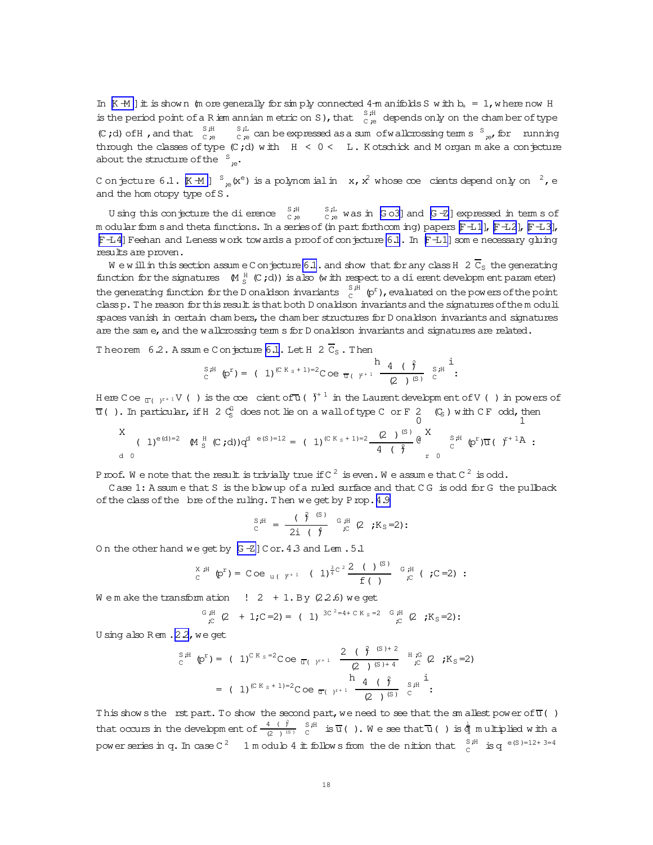<span id="page-17-0"></span>In  $K \rightarrow M$  ] it is shown (m ore generally for simply connected 4-m anifolds S w ith  $b_1 = 1$ , where now H is the period point of a R ism annian metric on S), that  $\frac{S,H}{C,e}$  depends only on the chamber of type (C;d) of H, and that  $\int_{C}^{S,H}$  $\frac{S}{C}$  ,  $\frac{L}{C}$  can be expressed as a sum of wall crossing term s  $\frac{S}{C}$  for nunning through the classes of type  $(C, d)$  with  $H < 0 < L$ . K otschick and M organ m ake a conjecture about the structure of the  $S_{\cdot \alpha}$ .

C on jecture 6.1.  $K \oplus 1$   $S_{\infty}(x^e)$  is a polynomial in  $x, x^2$  whose  $\infty$  cients depend only on  $x^2$ , e and the hom otopy type of S.

U sing this conjecture the di erence  $\int_{C_{\mathcal{B}}}^{S,H}$  $_{C,e}^{S,L}$  was in [Go3] and [G-Z] expressed in term s of m odular form s and theta functions. In a series of (in part forthcom ing) papers  $[FL1]$ ,  $[FL3]$ ,  $[FL3]$ , F-L4] Feehan and Leness work towards a proof of conjecture 6.1. In F-L1] some necessary gluing results are proven.

We will in this section assume C on jecture 6.1. and show that for any class H  $2\bar{C}_{s}$  the generating function for the signatures  $M_S^H(C; d)$  is also (with respect to a dierent developm ent parameter) the generating function for the D onaldson invariants  $C_c^{S,H}(\phi^r)$ , evaluated on the powers of the point class p. The reason for this result is that both D onaldson invariants and the signatures of the moduli spaces vanish in certain chambers, the chamber structures for D onaldson invariants and signatures are the same, and the walkrossing term s for D onaldson invariants and signatures are related.

Theorem 6.2. A ssum e C on ecture 6.1. Let H 2  $\overline{C}_S$ . Then

$$
S_{\text{c}}^{\text{S,H}}\left(p^{r}\right)=\left(1\right)^{\left(\text{C K }_{\text{S}}+1\right)=2}\text{Coe }\frac{h}{\pi\left(\frac{y^{r+1}}{r^{r+1}}\right)}\frac{4\left(\frac{\hat{y}}{r}\right)}{\left(2\right)^{\left(\text{S}\right)}}\overset{S,H}{\text{c}}^{\frac{1}{1}};
$$

Here Coe  $\frac{1}{\alpha}$  ( $\frac{1}{\alpha}$  ) is the coe cient of  $\frac{1}{\alpha}$  ( $\frac{1}{\alpha}$  in the Laurent developm ent of V () in powers of  $\overline{u}$  (). In particular, if H 2  $C_S^G$  does not lie on a wall of type C or F 2  $(C_S)$  with CF odd, then

X (1)<sup>e(d)=2</sup> M <sup>H</sup><sub>S</sub> (C,d) 
$$
q^{d} e^{(S)-12} = (1)^{(C K_S+1)=2} \frac{(2)^{(S)}}{4} e^{X}
$$
  $\int_{C}^{S,H} (p^{r}) \overline{u} (-f^{+1}A)$ 

P roof. We note that the result is trivially true if  $C^2$  is even. We assume that  $C^2$  is odd.

Case 1: A ssum e that S is the blow up of a ruled surface and that CG is odd for G the pullback of the class of the bre of the ruling. Then we get by Prop. 4.9

$$
{}_{\text{C}}^{S,H} = \frac{({\color{black} \hat{\zeta}}^{G})^{S}}{2i({\color{black} \hat{\zeta}}^{H}} {}_{\text{C}}^{G,H} (2 ; K_{S}=2))
$$

On the other hand we get by [G-Z] Cor. 4.3 and Lem. 5.1

$$
{}_{C}^{X,H} \varphi^{r} = \text{Coe}_{u (r^{r+1})} (1)^{\frac{3}{4}C^{2}} \frac{2 (1)^{(S)}}{f (1)} \stackrel{G,H}{\sim} (C=2):
$$

We make the transformation  $\left(2 + 1. \text{By } (2.2.6) \text{ we get}\right)$ 

$$
\begin{array}{ccccccccc}\n^{G} \; \mu & & & & \\
\hline\n\mu & & & & \\
\hline\n\mu & & & & \\
\hline\n\mu & & & & \\
\hline\n\mu & & & & \\
\hline\n\mu & & & & \\
\hline\n\mu & & & & \\
\hline\n\mu & & & & \\
\hline\n\mu & & & & \\
\hline\n\mu & & & & \\
\hline\n\mu & & & & \\
\hline\n\mu & & & & \\
\hline\n\mu & & & & \\
\hline\n\mu & & & & \\
\hline\n\mu & & & & \\
\hline\n\mu & & & & \\
\hline\n\mu & & & & \\
\hline\n\mu & & & & \\
\hline\n\mu & & & & \\
\hline\n\mu & & & & \\
\hline\n\mu & & & & & \\
\hline\n\mu & & & & & \\
\hline\n\mu & & & & & \\
\hline\n\mu & & & & & \\
\hline\n\mu & & & & & \\
\hline\n\mu & & & & & \\
\hline\n\mu & & & & & \\
\hline\n\mu & & & & & \\
\hline\n\mu & & & & & \\
\hline\n\mu & & & & & \\
\hline\n\mu & & & & & & \\
\hline\n\mu & & & & & & \\
\hline\n\mu & & & & & & \\
\hline\n\mu & & & & & & \\
\hline\n\mu & & & & & & \\
\hline\n\mu & & & & & & \\
\hline\n\mu & & & & & & \\
\hline\n\mu & & & & & & \\
\hline\n\mu & & & & & & \\
\hline\n\mu & & & & & & & \\
\hline\n\mu & & & & & & & \\
\hline\n\mu & & & & & & & \\
\hline\n\mu & & & & & & & \\
\hline\n\mu & & & & & & & \\
\hline\n\mu & & & & & & & \\
\hline\n\mu & & & & & & & & \\
\hline\n\mu & & & & & & & & \\
\hline\n\mu & & & & & & & & \\
\hline\n\mu & & & & & & & & \\
\hline\n\mu & & & & & & & & \\
\hline\n\mu & & & & & & & & \\
\hline\n\mu & & & & & & & & \\
\hline\n\mu & & & & & & & & \\
\hline\n\mu & & & & & & & & \\
\hline\n\mu & & & & & & & & \\
\hline\n\mu & & & & & & & & \\
\hline\n\mu & & & & & & & & \\
\hline\n\mu & & & & & & & & \\
\hline\n\mu & & & & & & &
$$

U sing also Rem . 2.2, we get

$$
S_{c}^{3\#} \text{ (p}^{r}) = (1)^{CK_{s}=2} \text{Coe }_{\overline{u}(1)^{r+1}} \frac{2 (\hat{f}^{8}(S)+2)}{(2)(S)+4} \text{ H g}^{G}(2; K_{S}=2)
$$
  
= (1)<sup>(CK\_{s}+1)=2</sup>Coe  $\overline{u}(1)^{r+1} \frac{4 (\hat{f}^{8})}{(2)(S)} S^{H}.$ 

This show s the rst part. To show the second part, we need to see that the sm allest power of  $\overline{u}$  () that occurs in the development of  $\frac{4}{(2)^{(s)}} \int_{C}^{S_{\text{r}}H}$  is  $\overline{u}$  ( ). We see that  $\overline{u}$  ( ) is  $\frac{1}{q}$  multiplied with a power series in q. In case  $C^2$  1 m odulo 4 it follows from the denition that  $\int_{C}^{S,H}$  is q  $e^{(S)-12+3=4}$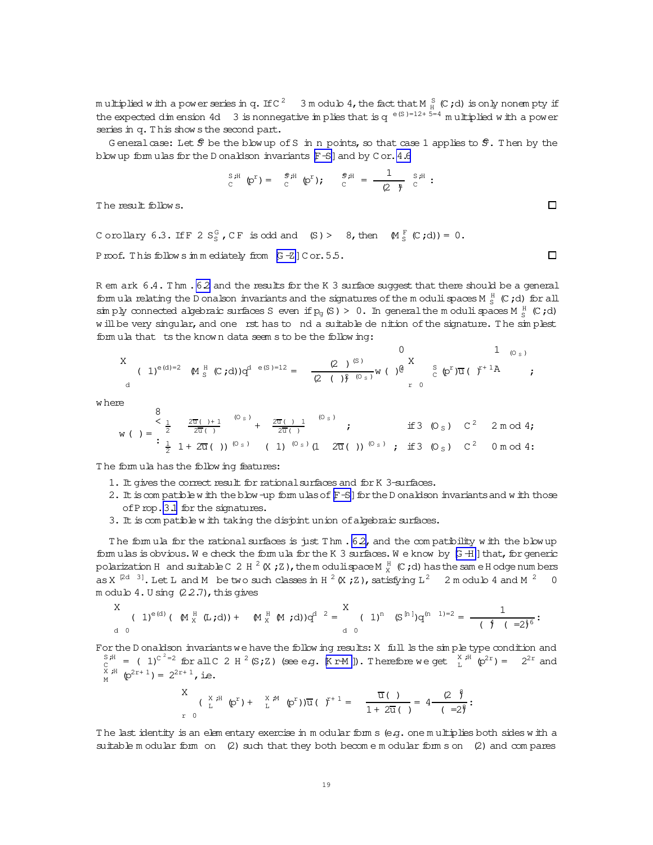multiplied with a power series in q. If C  $^2$   $\,$  3 m odulo 4, the fact that M  $_{\rm H}^{\rm S}$  (C ; d) is only nonempty if the expected dimension 4d 3 is nonnegative in plies that is  $q^{e(S)=12+5=4}$  multiplied with a power series in q. This show s the second part.

General case: Let  $\hat{S}$  be the blow up of S in n points, so that case 1 applies to  $\hat{S}$ . Then by the blow up form ulas for the D onaldson invariants [F-S] and by C or. 4.6

$$
S_{\text{c}}^{\text{S,H}}\left(\mathbf{p}^{\text{r}}\right) = \begin{array}{cc} S_{\text{r}}\text{H} & \mathbf{p}^{\text{r}} \\ C & \end{array};\n\qquad\n\begin{array}{cc} S_{\text{r}}\text{H} & = \frac{1}{\sqrt{2}} & S_{\text{r}}\text{H} \\ C & \end{array}:
$$

The result follows.

Corollary 6.3. If F 2 S<sub>S</sub>, CF is odd and (S) > 8, then  $M_S^F(C, d) = 0$ . Proof. This follows in mediately from  $[G - Z]$  Cor. 5.5.

R em ark 6.4. Thm . 62 and the results for the K 3 surface suggest that there should be a general form ula relating the D onalson invariants and the signatures of the m oduli spaces M  $_{\rm g}^{\rm H}$  (C;d) for all sin ply connected algebraic surfaces S even if  $p_g(S) > 0$ . In general the moduli spaces M  $^H_S$  (C;d) will be very singular, and one rst has to nd a suitable de nition of the signature. The simplest formula that ts the known data seem s to be the following:

w here

$$
w\left(\begin{array}{ccc} 8 \\ \frac{1}{2} & \frac{2\overline{u}(1)+1}{2\overline{u}(1)} \\ \vdots \\ \frac{1}{2} & 1+2\overline{u}(1) \end{array}\right) (0s) + \frac{2\overline{u}(1)+1}{2\overline{u}(1)} (0s) \qquad \text{if } 3 (0s) \quad C^2 \quad 2 \mod 4;
$$

The formula has the following features:

- 1. It gives the correct result for rational surfaces and for K 3-surfaces.
- 2. It is compatible with the blow-up formulas of F-S | for the D onaldson invariants and with those of Prop. 3.1 for the signatures.
- 3. It is compatible with taking the disjoint union of algebraic surfaces.

The formula for the rational surfaces is just Thm  $.62$ , and the compatibility with the blowup formulas is obvious. We check the formula for the K 3 surfaces. We know by  $[G + 1]$  that, for generic polarization H and suitable C 2 H  $^2$  (X ; Z), the modulispace M  $_X^H$  (C; d) has the same H odge numbers as X<sup>[2d 3]</sup>. Let L and M be two such classes in H<sup>2</sup> (X; Z), satisfying L<sup>2</sup> 2 m odulo 4 and M<sup>2</sup> 0 modulo 4. U sing (2.2.7), this gives

For the D onaldson invariants we have the following results: X full Is the simple type condition and  $S_{\Gamma}^{S,H}$  = (1)<sup>c<sup>2</sup>=2</sup> for all C 2 H<sup>2</sup> (S<sub>i</sub>,Z) (see e.g. [KrM]). Therefore we get  $\int_{\Gamma}^{X,H}$  (p<sup>2r</sup>) = 2<sup>2r</sup> and  $C \atop X \neq 0$   $\uparrow$   $C$ <br> $D^2$   $\uparrow$   $D^2$   $\uparrow$   $D^2$   $\downarrow$   $D^2$   $\downarrow$   $D^2$   $\downarrow$   $D^2$   $\downarrow$   $D^2$   $\downarrow$   $D^2$   $\downarrow$   $D^2$   $\downarrow$   $D^2$   $\downarrow$   $D^2$   $\downarrow$   $D^2$   $\downarrow$   $D^2$   $\downarrow$   $D^2$   $\downarrow$   $D^2$   $\downarrow$   $D^2$   $\downarrow$   $D^2$ 

$$
\begin{array}{cccc}\nX & \text{if} & \text{if } \mathbb{Q}^r & \text{if } \mathbb{Q}^r & \text{if } \mathbb{Q}^r\text{ is the } \mathbb{Q}^r\text{ is the } \mathbb{Q}^r\text{ is the } \mathbb{Q}^r\text{ is the } \mathbb{Q}^r\text{ is the } \mathbb{Q}^r\text{ is the } \mathbb{Q}^r\text{ is the } \mathbb{Q}^r\text{ is the } \mathbb{Q}^r\text{ is the } \mathbb{Q}^r\text{ is the } \mathbb{Q}^r\text{ is the } \mathbb{Q}^r\text{ is the } \mathbb{Q}^r\text{ is the } \mathbb{Q}^r\text{ is the } \mathbb{Q}^r\text{ is the } \mathbb{Q}^r\text{ is the } \mathbb{Q}^r\text{ is the } \mathbb{Q}^r\text{ is the } \mathbb{Q}^r\text{ is the } \mathbb{Q}^r\text{ is the } \mathbb{Q}^r\text{ is the } \mathbb{Q}^r\text{ is the } \mathbb{Q}^r\text{ is the } \mathbb{Q}^r\text{ is the } \mathbb{Q}^r\text{ is the } \mathbb{Q}^r\text{ is the } \mathbb{Q}^r\text{ is the } \mathbb{Q}^r\text{ is the } \mathbb{Q}^r\text{ is the } \mathbb{Q}^r\text{ is the } \mathbb{Q}^r\text{ is the } \mathbb{Q}^r\text{ is the } \mathbb{Q}^r\text{ is the } \mathbb{Q}^r\text{ is the } \mathbb{Q}^r\text{ is the } \mathbb{Q}^r\text{ is the } \mathbb{Q}^r\text{ is the } \mathbb{Q}^r\text{ is the } \mathbb{Q}^r\text{ is the } \mathbb{Q}^r\text{ is the } \mathbb{Q}^r\text{ is the } \mathbb{Q}^r\text{ is the } \mathbb{Q}^r\text{ is the } \mathbb{Q}^r\text{ is the } \mathbb{Q}^r\text{ is the } \mathbb{Q}^r\text{ is the } \mathbb{Q}^r\text{ is the } \mathbb{Q}^r\text{ is the } \mathbb{Q}^r\text{ is the } \mathbb{Q}^r\text{ is the } \mathbb{Q}^r\text{
$$

The last identity is an elementary exercise in modular forms (e.g. one multiplies both sides with a suitable m odular form on  $(2)$  such that they both become m odular form s on  $(2)$  and compares

 $\Box$ 

 $\Box$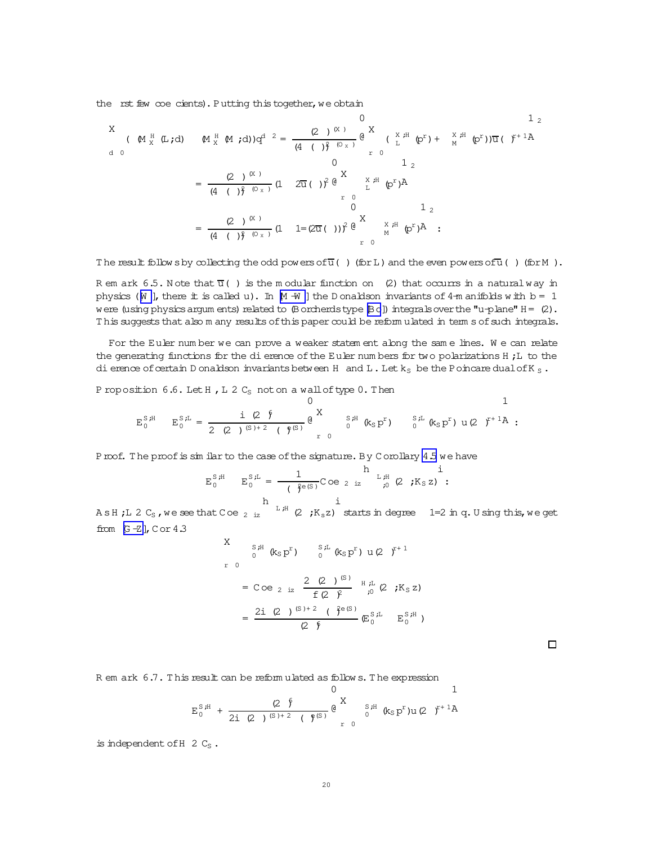the rst few coe cients). Putting this together, we obtain

The result follows by collecting the odd powers of  $\overline{u}$  ( ) (for L) and the even powers of  $\overline{u}$  ( ) (for M).

R em ark 6.5. Note that  $\overline{u}$  () is the modular function on (2) that occurrs in a natural way in physics ( $\mathbb N$  ], there it is called u). In  $\mathbb M$  -W ] the D onaldson invariants of 4-m anifolds with b = 1 were (using physics argum ents) related to  $(\beta$  orcherds type  $(\beta)$  integrals over the "u-plane"  $H = (2)$ . This suggests that also m any results of this paper could be reform ulated in term s of such integrals.

For the Euler number we can prove a weaker statem ent along the same lines. We can relate the generating functions for the dierence of the Euler numbers for two polarizations H; L to the di erence of certain D onaldson invariants between H and L. Let  $k_S$  be the P oincare dual of K  $_S$ .

P roposition  $6.6$ . Let H, L 2  $C_S$  not on a wall of type 0. Then

$$
E_0^{S,H} \t E_0^{S,L} = \frac{i (2 \oint}{2 (2) (S) + 2} (\oint_{r}^{S})^{\frac{1}{2}} e^{X} \int_{r}^{S,H} (k_S p^r) \t S^{L} (k_S p^r) u (2 f^{+1} A :
$$

Proof. The proof is similar to the case of the signature. By Corollary 4.5 we have

$$
E_0^{S,H} \t E_0^{S,L} = \frac{1}{(\xi^{\theta(S)})} \text{Coe}_{2 \text{ iz}} \t L_H^{H} (2 \xi K_S z) \t i
$$

A s H ;L 2 C<sub>s</sub>, we see that C oe <sub>2 iz</sub>  $\frac{h}{L}$ ;<sup>H</sup> (2 ;K<sub>s</sub>z) starts in degree 1=2 in q. U sing this, we get from  $[G - Z]$ , C or 4.3

$$
X = \int_{0}^{S,H} (k_{S} p^{r}) \frac{S^{rL}}{0} (k_{S} p^{r}) u(2)^{r+1}
$$
  
=  $C \circ e_{2}$  is  $\frac{2 (2)^{(S)}}{f(2)^{r}} \bigg|_{0}^{H,H} (2)^{r} K_{S} z$   
=  $\frac{2i (2)^{(S)+2} (3^{e(S)}}{2^{\frac{S}{2}}} (E_{0}^{S,H} - E_{0}^{S,H})$ 

R em ark 6.7. This result can be reformulated as follows. The expression

 $\cap$ 

is independent of H  $2 \text{ Cs}$ .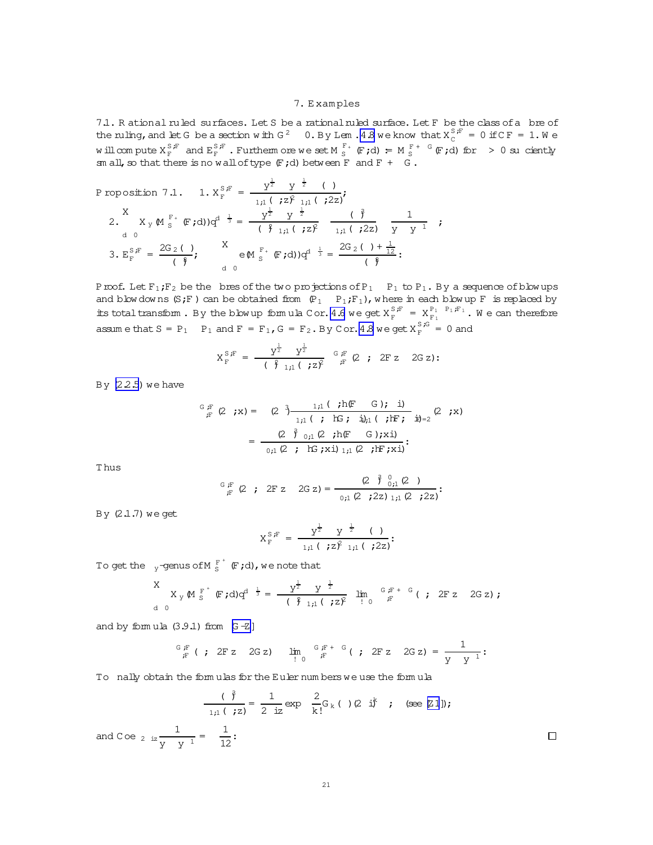### 7. E xam ples

<span id="page-20-0"></span>7.1. R ational ruled surfaces. Let S be a rational ruled surface. Let F be the class of a bre of the ruling, and let G be a section with G<sup>2</sup> 0. By Lem . 4.8 we know that  $X_C^{S,F} = 0$  if C F = 1. We will compute  $X_F^{S,F}$  and  $E_F^{S,F}$  . Furtherm ore we set M  $_S^{F+}$  (F;d) = M  $_S^{F+}$  G (F;d) for > 0 su ciently sm all, so that there is no wall of type  $(F; d)$  between F and  $F + G$ .

$$
\begin{array}{ll}\n\text{Proposition 7.1.} & 1. \, X_F^{S,F} = \frac{y^{\frac{1}{2}} \, y^{\frac{1}{2}} \, (1)}{1,1 \, (1,2)^2 \, 1,1 \, (1,2)^2} \\
& 2. \, X_y \, \mathbb{M}^{F^+}_{S} \, \mathbb{F} \, \text{d}) \, \text{d}^{\text{d} \frac{1}{3}} = \frac{y^{\frac{1}{2}} \, y^{\frac{1}{2}} \, (1,1 \, (1,2)^2)}{(1,1 \, (1,2)^2 \, 1,1 \, (1,2)^2 \, y^{\frac{1}{2}} \, y^{\frac{1}{2}} \, \text{d}^2)} \\
& 3. \, E_F^{S,F} = \frac{2G_2 \, (1)}{(8,1 \, 1 \, 1,1 \, 1,1 \, 1,1 \, 1,1 \, 1,1 \, 1,1 \, 1,1 \, 1,1 \, 1,1 \, 1,1 \, 1,1 \, 1,1 \, 1,1 \, 1,1 \, 1,1 \, 1,1 \, 1,1 \, 1,1 \, 1,1 \, 1,1 \, 1,1 \, 1,1 \, 1,1 \, 1,1 \, 1,1 \, 1,1 \, 1,1 \, 1,1 \, 1,1 \, 1,1 \, 1,1 \, 1,1 \, 1,1 \, 1,1 \, 1,1 \, 1,1 \, 1,1 \, 1,1 \, 1,1 \, 1,1 \, 1,1 \, 1,1 \, 1,1 \, 1,1 \, 1,1 \, 1,1 \, 1,1 \, 1,1 \, 1,1 \, 1,1 \, 1,1 \, 1,1 \, 1,1 \, 1,1 \, 1,1 \, 1,1 \, 1,1 \, 1,1 \, 1,1 \, 1,1 \, 1,1 \, 1,1 \, 1,1 \, 1,1 \, 1,1 \, 1,1 \, 1,1 \, 1,1 \, 1,1 \, 1,1 \, 1,1 \, 1,1 \, 1,1 \, 1,1 \, 1,1 \, 1,1 \, 1,1 \, 1,1 \, 1,1 \, 1,
$$

Proof. Let  $F_1$ ;  $F_2$  be the bres of the two projections of  $P_1$  P<sub>1</sub> to  $P_1$ . By a sequence of blow ups and blow downs  $(S;F)$  can be obtained from  $(P_1 \ P_1;F_1)$ , w here in each blow up F is replaced by its total transform. By the blow up form ula C or. [4.6](#page-12-0) we get  $X_F^{S,F} = X_{F_1}^{P_1 \ P_1/F_1}$ . We can therefore assume that  $S = P_1$   $P_1$  and  $F = F_1$ ,  $G = F_2$ . By Cor. 4.8 we get  $X_F^{S,G} = 0$  and

$$
X_{F}^{S,F} = \frac{y^{\frac{1}{2}}}{(\frac{9}{2}1,1)(\frac{1}{2}Z)^{2}} \xrightarrow{G, F} (2; 2F z \quad 2G z):
$$

By  $(2.2.5)$  we have

$$
G_{iF}^{G,F}(2 ; x) = (2^{3}) \frac{1;1 \; (i \; h(F - G); i)}{1;1 \; (i \; hG; i)} (i \; hF; i) = \frac{(2^{3}) \cdot 0;1 \; (2 ; h(F - G); x i)}{0;1 \; (2 ; hG; x i) 1;1 \; (2 ; hF; x i)};
$$

T hus

$$
{}^G\, \, {}^F_{\!F}\, \, \left(2 \quad ; \quad 2F \; z \quad \ 2G \; z\right) = \frac{\left(2 \quad \ \ \mathring{\gamma} \, \, {}^0_{\! \ 0 \, ;1} \; \left(2 \quad ; \right) \right)}{ {}^0\, \! ;1 \; \left(2 \quad ; \, 2z\right) \, \! \! :1 \, ;1 \; \left(2 \quad ; \, 2z\right)} \, ;
$$

By  $(2.1.7)$  we get

$$
X_{F}^{S,F} = \frac{y^{\frac{1}{2}} y^{\frac{1}{2}} (y \cdot \frac{1}{2})}{1,1} \cdot \frac{y^{\frac{1}{2}} (y \cdot \frac{1}{2})}{1,1}.
$$

To get the  $\left\lfloor \frac{1}{y} \right\rfloor$  -genus of M  $\frac{F}{S}^+$  (F;d), we note that

$$
\begin{array}{ccc}\nX & & & & \\
X & & & & \\
d & 0 & & & \\
\end{array}
$$

and by formula  $(3.9.1)$  from  $[G -Z]$ 

$$
\frac{G F}{F} \; ( ; 2F z \; 2G z) \; \lim_{\substack{I \to 0 \\ I}} \frac{G F}{F} + G \; ( ; 2F z \; 2G z) = \frac{1}{Y Y} :
$$

To nally obtain the form ulas for the Euler num bers we use the form ula

$$
\frac{(\hat{\beta})}{1,1(\hat{z})} = \frac{1}{2 \text{ iz}} \exp \frac{2}{k!} G_k(\cdot) (2 \text{ i})^k; \text{ (see [21]);}
$$
  
and  $C \circ e_{2} \frac{1}{2} \frac{1}{y - y^{-1}} = \frac{1}{12}$ :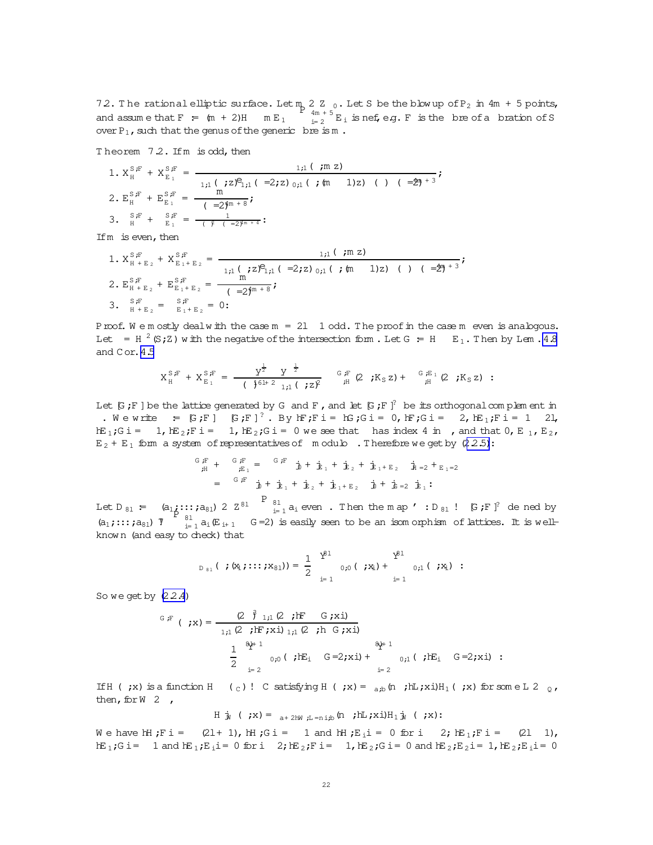<span id="page-21-0"></span>72. The rational elliptic surface. Let  $m_{p}$  2  $Z_{0}$ . Let S be the blow up of P<sub>2</sub> in 4m + 5 points,  $\frac{4m + 5}{m + 2}$  E<sub>i</sub> is nef, e.g. F is the bre of a bration of S and assume that  $F = (m + 2)H$   $m E_1$ over  $P_1$ , such that the genus of the generic bre is m.

Theorem 7.2. If m is odd, then

1. 
$$
X_H^{S,F} + X_{E_1}^{S,F} = \frac{1,1 \text{ } (\text{ } m \text{ } z)}{1,1 \text{ } (\text{ } z)^2,1 \text{ } (\text{ } -2, z) \text{ } 0,1 \text{ } (\text{ } \text{ } m \text{ } 1) \text{ } z) \text{ } (\text{ } -\frac{4\eta + 3}{5})}
$$
  
\n2.  $E_H^{S,F} + E_{E_1}^{S,F} = \frac{m}{(\text{ } -2\eta^{m+8})}$   
\n3.  $\frac{S_F}{H} + \frac{S_F}{E_1} = \frac{1}{(\text{ } -2\eta^{m+4})}$ :

If  $m$  is even, then

1.  $X_{H+E_2}^{S,F} + X_{E_1+E_2}^{S,F} = \frac{1,1 \, (\text{ m z})}{1,1 \, (\text{ s z})^2,1 \, (\text{ s z})^2,1 \, (\text{ s z})^2,1 \, (\text{ s z})^2,1 \, (\text{ s z})^2,1 \, (\text{ s z})^2,1 \, (\text{ s z})^2,1 \, (\text{ s z})^2,1 \, (\text{ s z})^2,1 \, (\text{ s z})^2,1 \, (\text{ s z})^2,1 \, (\text{ s z})^2,1 \, (\text{ s z})^2,1 \, (\text{ s z})^2,1 \, (\text{$ 2.  $E_{H+E_2}^{S,F} + E_{E_1+E_2}^{S,F} = \frac{m}{(2)^{4m+8}}$ 3.  ${}_{H+E_2}^{S,F} = {}_{E_1+E_2}^{S,F} = 0$ :

Proof. We mostly dealwith the case  $m = 2l$  1 odd. The proof in the case m even is analogous. Let = H<sup>2</sup> (S; Z) with the negative of the intersection form. Let G = H E<sub>1</sub>. Then by Lem. 4.8 and Cor. 4.5

$$
X_{H}^{S,F} + X_{E_{1}}^{S,F} = \frac{Y^{\frac{1}{2}} Y^{\frac{1}{2}}}{\left(\frac{1}{2}6H^{2} I_{11} \right) \left(\frac{1}{2}Z\right)^{2}} G_{H}^{F} (2 ; K_{S} Z) + G_{H}^{E_{1}} (2 ; K_{S} Z) :
$$

Let  $[G, F]$  be the lattice generated by G and F, and let  $[G, F]$ <sup>2</sup> be its orthogonal complement in . We write  $\in$  [G;F] [G;F]<sup>?</sup>. By hF;F i = hG;G i = 0, hF;G i = 2, hE<sub>1</sub>;F i = 1 21,  $E_1:G_i = 1, E_i:F_i = 1, E_i:G_i = 0$  we see that has index 4 in , and that  $0, E_i, E_i$ ,  $E_2 + E_1$  form a system of representatives of modulo. Therefore we get by (2.2.5):

$$
\begin{aligned}\n\tilde{\mathbf{F}}_{\hat{\mu}} + \quad & \mathbf{G}_{\hat{E}_1} = \quad \mathbf{G}_{\hat{F}} \quad \mathbf{b} + \mathbf{b}_1 + \mathbf{b}_2 + \mathbf{b}_1 + \mathbf{E}_2 \quad \mathbf{b}_1 = 2 + \mathbf{b}_1 = 2 \\
& = \quad \mathbf{G}_{\hat{F}} \quad \mathbf{b} + \mathbf{b}_1 + \mathbf{b}_2 + \mathbf{b}_1 + \mathbf{b}_2 \quad \mathbf{b} + \mathbf{b}_2 = \mathbf{b}_1 \, \mathbf{F} \\
& = \quad \mathbf{G}_{\hat{F}} \quad \mathbf{b} + \mathbf{b}_1 + \mathbf{b}_2 + \mathbf{b}_1 + \mathbf{b}_2 \quad \mathbf{b} + \mathbf{b}_2 = \mathbf{b}_1 \, \mathbf{F}.\n\end{aligned}
$$

Let  $D_{81} = (a_{1}, \ldots, a_{81}) 2 2^{81}$   $B_{\frac{1}{2}1}$  a<sub>i</sub> even. Then the map ':  $D_{81}$  ! [G; F]<sup>?</sup> de ned by  $(a_1; \ldots; a_{81})$   $\overline{y}$   $\begin{bmatrix} a_1; \ldots; a_{81} \end{bmatrix}$   $\overline{y}$   $\begin{bmatrix} a_1; \ldots; a_{81} \end{bmatrix}$   $\overline{y}$   $\begin{bmatrix} a_1; \ldots; a_{81} \end{bmatrix}$   $\overline{y}$   $\begin{bmatrix} a_1; \ldots; a_{81} \end{bmatrix}$   $\overline{y}$   $\begin{bmatrix} a_1; \ldots; a_{81} \end{bmatrix}$ known (and easy to check) that

$$
D_{81} ( ; (x_1; \ldots; x_{81})) = \frac{1}{2} \int_{i=1}^{x^{\beta 1}} 0,0 ( ; x_1) + \int_{i=1}^{x^{\beta 1}} 0,1 ( ; x_1) :
$$

So we get by  $(2.2.4)$ 

$$
G \, F \, (\gamma x) = \frac{(2 \hat{\gamma}_{1,1} (2 \gamma) F - G \gamma x i)}{1 \cdot 1 (2 \gamma) F \gamma x i 1 \cdot 1 (2 \gamma) h G \gamma x i}
$$
\n
$$
\frac{1}{2} \sum_{i=2}^{3k+1} 0 \cdot 0 ( \gamma) F_{i} G = 2 \gamma x i + 0 \cdot 1 ( \gamma) F_{i} G = 2 \gamma x i
$$

If  $H$  (;x) is a function  $H$  (c)! C satisfying  $H$  (;x) =  $_{a,b}$  (n;  $\frac{1}{L}$ ;xi) $H_1$  (;x) for some L 2  $_0$ , then, for W  $2$ ,

H 
$$
\mathbf{j}_\mathbf{N}
$$
 ( $\mathbf{X}$ ) =  $_{\mathbf{a} + 2\mathbf{M}}$ ,  $\mathbf{L} = \mathbf{n} \mathbf{i}$ ,  $\mathbf{b}$  ( $\mathbf{r}$ )H  $\mathbf{I}$   $\mathbf{J}$  ( $\mathbf{X}$ ) :

We have hH; Fi =  $(21 + 1)$ , HH; Gi = 1 and hH; E<sub>i</sub> i = 0 for i 2; hE<sub>1</sub>; Fi =  $(21 \ 1)$ ,  $E_1; G_i = 1$  and  $E_1; E_i = 0$  for  $i = 2$ ;  $E_2; F_i = 1$ ,  $E_2; G_i = 0$  and  $E_2; E_2 = 1$ ,  $E_2; E_i = 0$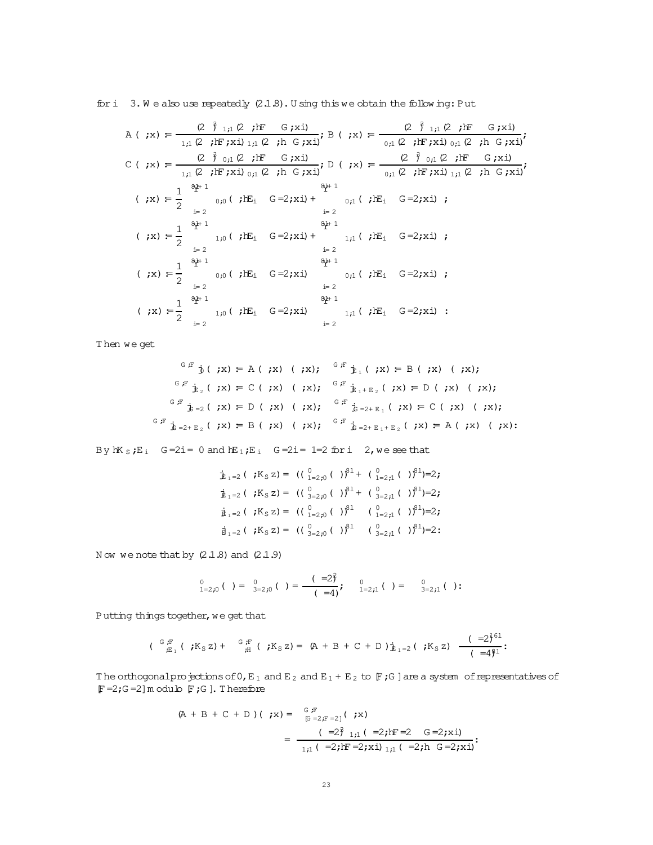for  $i$  3. We also use repeatedly  $(2.1.8)$ . U sing this we obtain the following: Put

Then we get

$$
{}^{G \, F} \, \dot{y} \, (\, \, ;x) = A \, (\, \, ;x) \, (\, \, ;x); \quad {}^{G \, F} \, \dot{y}_{1} \, (\, \, ;x) = B \, (\, \, ;x) \, (\, \, ;x);
$$
\n
$$
{}^{G \, F} \, \dot{y}_{2} \, (\, \, ;x) = C \, (\, \, ;x) \, (\, \, ;x) \, (\, \, ;x); \quad {}^{G \, F} \, \dot{y}_{1+E_{2}} \, (\, \, ;x) = D \, (\, \, ;x) \, (\, \, ;x);
$$
\n
$$
{}^{G \, F} \, \dot{y}_{1+E_{2}} \, (\, \, ;x) = C \, (\, \, ;x) \, (\, \, ;x) \, (\, \, ;x) \, (\, \, ;x) \, (\, \, ;x) = C \, (\, \, ;x) \, (\, \, ;x);
$$
\n
$$
{}^{G \, F} \, \dot{y}_{1-E_{2}} \, (\, \, ;x) = C \, (\, \, ;x) \, (\, \, ;x) \, (\, \, ;x) \, (\, \, ;x) = C \, (\, \, ;x) \, (\, \, ;x) \, (\, \, ;x) = C \, (\, \, ;x) \, (\, \, ;x) \, (\, \, ;x) = C \, (\, \, ;x) \, (\, \, ;x) \, (\, \, ;x) = C \, (\, \, ;x) \, (\, \, ;x) \, (\, \, ;x) = C \, (\, \, ;x) \, (\, \, ;x) \, (\, \, ;x) = C \, (\, \, ;x) \, (\, \, ;x) \, (\, \, ;x) = C \, (\, \, ;x) \, (\, \, ;x) \, (\, \, ;x) = C \, (\, \, ;x) \, (\, \, ;x) = C \, (\, \, ;x) \, (\, \, ;x) = C \, (\, \, ;x) \, (\, \, ;x) = C \, (\, \, ;x) \, (\, \, ;x) = C \, (\, \, ;x) \, (\, \, ;x) = C \, (\, \, ;x) \, (\, \, ;x) = C \, (\, \, ;x) \, (\, \, ;x) = C \, (\, \, ;x) \, (\, \, ;x) = C \, (\, \, ;x)
$$

By  $hK_S$ ; E<sub>i</sub> G=2i = 0 and  $hE_1$ ; E<sub>i</sub> G=2i = 1=2 for i 2, we see that

$$
\dot{\mathbf{E}}_{1=2} \left( \begin{array}{cc} jK_{S} z \end{array} \right) = \left( \begin{array}{cc} \binom{0}{1=2} , \binom{0}{1=2} + \binom{0}{1=2} , \binom{0}{1=2} \end{array} \right) = 2 ;
$$
\n
$$
\dot{\mathbf{E}}_{1=2} \left( \begin{array}{cc} jK_{S} z \end{array} \right) = \left( \begin{array}{cc} \binom{0}{3=2} , \binom{0}{1=2} + \binom{0}{3=2} , \binom{0}{1=2} \end{array} \right) = 2 ;
$$
\n
$$
\dot{\mathbf{E}}_{1=2} \left( \begin{array}{cc} jK_{S} z \end{array} \right) = \left( \begin{array}{cc} \binom{0}{1=2} , \binom{0}{1=2} + \binom{0}{1=2} , \binom{0}{1=2} + \binom{0}{1=2} \end{array} \right) = 2 ;
$$
\n
$$
\dot{\mathbf{E}}_{1=2} \left( \begin{array}{cc} jK_{S} z \end{array} \right) = \left( \begin{array}{cc} \binom{0}{3=2} , \binom{0}{1=2} + \binom{0}{3=2} + \binom{0}{1=2} + \binom{0}{1=2} + \binom{0}{1=2} + \binom{0}{1=2} + \binom{0}{1=2} + \binom{0}{1=2} + \binom{0}{1=2} + \binom{0}{1=2} + \binom{0}{1=2} + \binom{0}{1=2} + \binom{0}{1=2} + \binom{0}{1=2} + \binom{0}{1=2} + \binom{0}{1=2} + \binom{0}{1=2} + \binom{0}{1=2} + \binom{0}{1=2} + \binom{0}{1=2} + \binom{0}{1=2} + \binom{0}{1=2} + \binom{0}{1=2} + \binom{0}{1=2} + \binom{0}{1=2} + \binom{0}{1=2} + \binom{0}{1=2} + \binom{0}{1=2} + \binom{0}{1=2} + \binom{0}{1=2} + \binom{0}{1=2} + \binom{0}{1=2} + \bin
$$

Now we note that by  $(2.1.8)$  and  $(2.1.9)$ 

$$
\bigcup_{1=2,0}^{0} (1) = \bigcup_{3=2,0}^{0} (1) = \frac{(-2)^{2}}{(-4)^{2}}, \quad \bigcup_{1=2,1}^{0} (1) = \bigcup_{3=2,1}^{0} (1)
$$

Putting things together, we get that

$$
(\begin{array}{cc} {^G\!F}_{;E_1} ( \cdot ;K_S z) + \quad {^G\!F}_{;H} ( \cdot ;K_S z) = (A + B + C + D) \, j_{E_1 = 2} ( \cdot ;K_S z) \end{array} \frac{(-2)^{61}}{(-4)^{61}}:
$$

The orthogonalpro jections of  $0, E_1$  and  $E_2$  and  $E_1 + E_2$  to  $\mathbb F$ ; G ] are a system of representatives of  $\mathbb{F}$  =2;G =2] m odulo  $\mathbb{F}$ ;G]. Therefore

$$
(A + B + C + D) ( ; x) = {^{G}_{[E}F \atop [G = 2; F = 2]} ( ; x)
$$
  

$$
= {(-2)^{3} \atop 1;1} (-2; hF = 2; x \dot{x}) \atop 1;1} ( =2; h G = 2; x \dot{x})
$$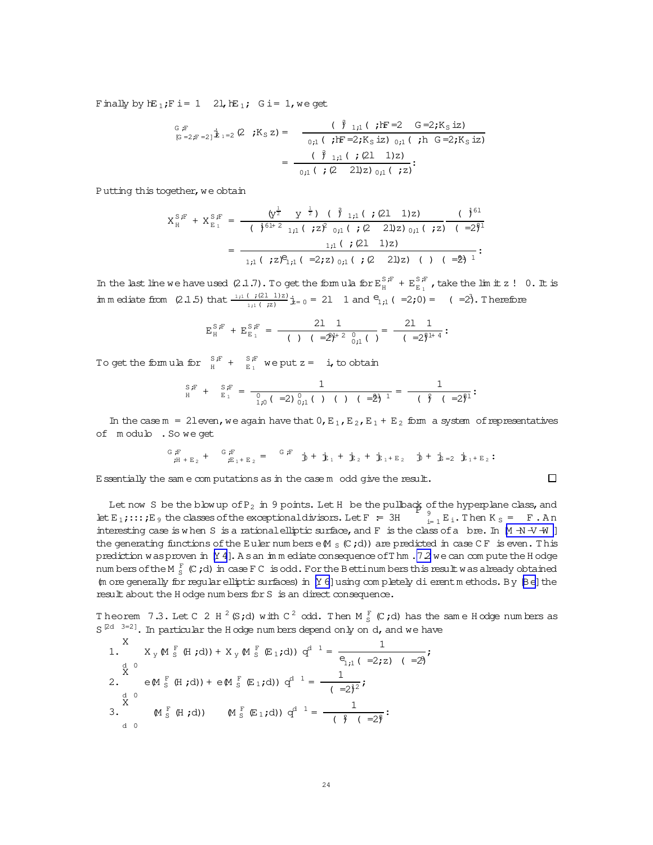<span id="page-23-0"></span>Finally by  $hE_1;F$  i= 1 2l,  $hE_1; G$  i= 1, we get

$$
{}_{[G \atop G=2;F=2]}\n \dot{E}_{1}=2 (2 ; K_{S} z) = \n \frac{(\n \hat{J}_{1;1} ( ; F=2 G=2;K_{S} iz) \n \n _{0;1} ( ; F=2;K_{S} iz) \n _{0;1} ( ; h G=2;K_{S} iz) \n \n = \n \frac{(\n \hat{J}_{1;1} ( ; (21 1)z) \n \n _{0;1} ( ; (2 21)z) \n _{0;1} ( ; z) \n \n}.
$$

Putting this together, we obtain

$$
X_{H}^{S,F} + X_{E_{1}}^{S,F} = \frac{\left(y^{\frac{1}{2}} \quad y^{\frac{1}{2}}\right) \quad (\quad \hat{y}_{1,1} \quad (\quad ; \quad (21 \quad 1)z)}{\left(\quad \hat{y}^{61+2} \quad 1,1 \quad ( \quad ; \quad (21 \quad 2)z\right) \quad 0,1 \quad ( \quad ; \quad (21 \quad 2)z\right)} \quad (-2)^{\frac{5}{4}}
$$
\n
$$
= \frac{1,1 \quad (\quad ; \quad (21 \quad 1)z)}{1,1 \quad ( \quad ; \quad (21 \quad 1)z \quad ( \quad (22 \quad 2)z) \quad ( \quad (23 \quad 2)z \quad ( \quad (24 \quad 2)z)} \quad (25 \quad 2)z \quad (26 \quad 2)z \quad (27 \quad 2)z \quad (28 \quad 2)z \quad (29 \quad 2)z \quad (20 \quad 2)z \quad (20 \quad 2)z \quad (20 \quad 2)z \quad (20 \quad 2)z \quad (21 \quad 2)z \quad (20 \quad 2)z \quad (21 \quad 2)z \quad (20 \quad 2)z \quad (21 \quad 2)z \quad (20 \quad 2)z \quad (21 \quad 2)z \quad (22 \quad 2)z \quad (20 \quad 2)z \quad (21 \quad 2)z \quad (22 \quad 2)z \quad (21 \quad 2)z \quad (22 \quad 2)z \quad (23 \quad 2)z \quad (24 \quad 2)z \quad (25 \quad 2)z \quad (26 \quad 2)z \quad (27 \quad 2)z \quad (28 \quad 2)z \quad (29 \quad 2)z \quad (20 \quad 2)z \quad (20 \quad 2)z \quad (20 \quad 2)z \quad (20 \quad 2)z \quad (20 \quad 2)z \quad (20 \quad 2)z \quad (20 \quad 2)z \quad (20 \quad 2)z \quad (20 \quad 2)z \quad (20 \quad 2)z \quad (20 \quad 2)z \quad (20 \quad 2)z \quad (20 \quad 2)z \quad (20 \quad 2)z \quad (20 \quad 2)z \quad (20 \quad 2)z \quad (20 \quad 2)
$$

In the last line we have used  $(2.1.7)$ . To get the form ula for  $E_H^{S,F} + E_{E_1}^{S,F}$ , take the limit z ! 0. It is im m ediate from (2.1.5) that  $\frac{1;1 \cdot (-7)(2l-1)z}{1;1 \cdot (7z)}$   $\dot{z}=0$  = 21 1 and  $e_{1;1}$  ( =2;0) = ( =2). Therefore

$$
E_H^{S,F} + E_{E_1}^{S,F} = \frac{2l}{(1-(1-\hat{z})^2)^{l+2} \, \frac{0}{0,1}(\cdot)} = \frac{2l}{(1-\hat{z})^2^{l+4}}:
$$

To get the formula for  $S_{H}^{S,F}$  +  $S_{E_{1}}^{S,F}$  we put z = i, to obtain

S;F <sup>H</sup> + S;F E <sup>1</sup> = 1 0 1;0( =2)<sup>0</sup> <sup>0</sup>;<sup>1</sup>( ) ( ) ( =2)<sup>8</sup><sup>l</sup> <sup>1</sup> = 1 ( )<sup>2</sup> ( =2)<sup>8</sup><sup>l</sup> :

In the case  $m = 21$  even, we again have that  $0, E_1, E_2, E_1 + E_2$  form a system of representatives of m odulo .So we get

$$
{}^G_{{\vec{r}}}\,{}^F_{{\vec{r}}+E_2}\, + \qquad {}^G_{{\vec{r}} E_1+E_2} = \qquad {}^G_{{\vec{r}} E}\, {}^F_{}\, \dot{J\!\!J} + \dot{J\!\!J\!\!J}_1 \, + \, \dot{J\!\!J\!\!J}_2 \, + \, \dot{J\!\!J\!\!J}_1 + E_2 \quad \dot{J\!\!J} + \, \dot{J\!\!J\!\!J} = 2 \, \dot{J\!\!J\!\!J}_1 + E_2 \, \dot{J\!\!J}
$$

 $\Box$ 

Essentially the sam e com putations as in the case m odd give the result.

Let now S be the blow up ofP<sup>2</sup> in 9 points. LetH be the pullback ofthe hyperplane class,and P <sup>9</sup> let  $E_1$ ;::; $E_9$  the classes of the exceptional divisors. Let  $F = 3H$  $E_{i=1}^{9} E_i$ . Then  $K_S = F$ . An interesting case is when S is a rational elliptic surface, and F is the class of a bre. In  $[M + N + V + W]$ the generating functions of the Euler num berse  $(M_S (C; d))$  are predicted in case CF is even. This prediction was proven in  $[Y 4]$ . As an im m ediate consequence of Thm . 7.2 we can com pute the H odge num bers of the M  $_{{\rm S}}^{\rm F}$  (C;d) in case F C is odd. For the Bettinum bers this result was already obtained (m ore generally for regular elliptic surfaces) in  $[Y \ 6]$ using com pletely dierentm ethods. By  $[Be]$  the result about the H odge num bers for S is an direct consequence.

Theorem 7.3. Let C 2 H  $^2$  (S;d) with C  $^2$  odd. Then M  $^F_S$  (C;d) has the same H odge numbers as  $S^{[2d-3=2]}$ . In particular the H odge num bers depend only on d, and we have

1. 
$$
X_y M_S^F(H; d) + X_y M_S^F(E_1; d) d^{d-1} = \frac{1}{e_{1,1} (-2, z) (-2)};
$$
  
\n2.  $e M_S^F(H; d) + e M_S^F(E_1; d) d^{d-1} = \frac{1}{(-2)^2};$   
\n3.  $M_S^F(H; d) (M_S^F(E_1; d) d^{d-1} = \frac{1}{(-2)^2};$   
\n4.0  
\n4.0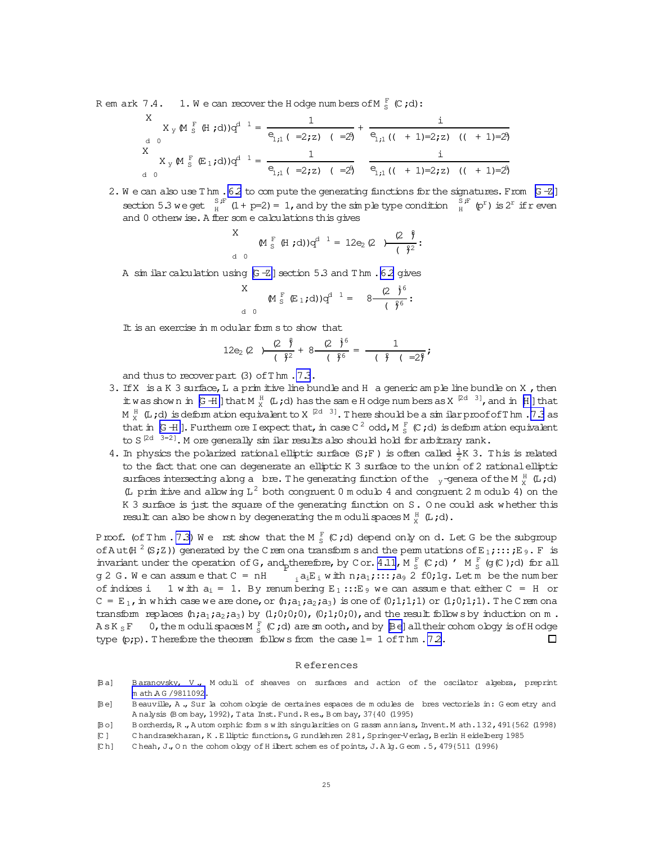<span id="page-24-0"></span>R em ark 7.4. 1. We can recover the H odge numbers of  $M_{s}^{F}$  (C;d):

$$
X_{y} \bowtie_{S}^{F} (\text{H } ; d))q^{d-1} = \frac{1}{e_{1;1} (-2; z) (-2)} + \frac{i}{e_{1;1} (( + 1) = 2; z) (( + 1) = 2)}
$$
  

$$
X_{y} \bowtie_{S}^{F} (\text{E } _{1}; d))q^{d-1} = \frac{1}{e_{1;1} (-2; z) (-2)} - \frac{i}{e_{1;1} (( + 1) = 2; z) (( + 1) = 2)}
$$

2. We can also use Thm . 6.2 to compute the generating functions for the signatures. From  $[6 - Z]$ section 5.3 we get  $\frac{S}{H}$  (1 + p=2) = 1, and by the sim ple type condition  $\frac{S}{H}$  (p<sup>r</sup>) is 2<sup>r</sup> if r even and 0 otherw ise. A fler some calculations this gives

$$
\begin{array}{c}\n\mathsf{M} \, \, \mathsf{S} \\
\mathsf{M} \, \, \mathsf{S} \, \, \, (\mathsf{H} \, \, ; \, \mathsf{d})\,)\,q^{d-1} = 12e_2\,(\mathsf{Q} \quad) \frac{(\mathsf{Q} \, \, \mathsf{S})}{(\, \, \, \mathsf{S}^2)}\,.\n\end{array}
$$

A sim ilar calculation using  $[G - Z]$  section 5.3 and Thm. 6.2 gives

$$
\begin{array}{cccc}\nX & & & \text{M}_{S}^{F} & \text{E}_{1};d) \text{)}\n\mathbf{q}^{d-1} = & 8 - \frac{(2 \cdot 3)^{6}}{(3 \cdot 6)!} : \\
\mathbf{q} & & & \text{M}_{S}^{F} & \text{E}_{1};d) \text{M}_{S}^{d-1} & & \text{M}_{S}^{F} & \text{M}_{S}^{F} & & \text{M}_{S}^{F} \\
\mathbf{q} & & & & \text{M}_{S}^{F} & \text{M}_{S}^{F} & \text{M}_{S}^{F} & & \text{M}_{S}^{F} & \text{M}_{S}^{F} & & \text{M}_{S}^{F} \\
\mathbf{q} & & & & \text{M}_{S}^{F} & \text{M}_{S}^{F} & \text{M}_{S}^{F} & & \text{M}_{S}^{F} & \text{M}_{S}^{F} & & \text{M}_{S}^{F} & & \text{M}_{S}^{F} \\
\mathbf{q} & & & & \text{M}_{S}^{F} & \text{M}_{S}^{F} & \text{M}_{S}^{F} & \text{M}_{S}^{F} & & \text{M}_{S}^{F} & \text{M}_{S}^{F} & & \text{M}_{S}^{F} & & \text{M}_{S}^{F} \\
\mathbf{q} & & & & \text{M}_{S}^{F} & \text{M}_{S}^{F} & \text{M}_{S}^{F} & \text{M}_{S}^{F} & & \text{M}_{S}^{F} & & \text{M}_{S}^{F} & & \text{M}_{S}^{F} & & \text{M}_{S}^{F} & & \text{M}_{S}^{F} \\
\mathbf{q} & & & & \text{M}_{S}^{F} & \text{M}_{S}^{F} & \text{M}_{S}^{F} & \text{M}_{S}^{F} & & \text{M}_{S}^{F} & & \text{M}_{S}^{F} & & \text{M}_{S}^{F} & & \text{M}_{S}^{F} \\
\mathbf{q} & & & & \text{M}_{S}^{F} & \text{M}_{S}^{F} & \text{M}_{S}^{F} & & \text{M}_{S}^{F} & & \text{M}_{S}^{F} & & \text{M}_{S}^{F} \\
\mathbf{q} & & & & \text{M}_{S}^{F} & \text{M}_{S}^{F} & \text{M}_{S}^{F} &
$$

It is an exercise in modular form s to show that

$$
12e_2(2) \frac{(2 \frac{6}{7})}{(\frac{2}{7})^2} + 8 \frac{(2 \frac{1}{7})^6}{(\frac{2}{7})^6} = \frac{1}{(\frac{2}{7})(\frac{2}{7})^2};
$$

and thus to recover part (3) of Thm. 7.3.

- 3. If X is a K 3 surface, L a prim it ive line bundle and H a generic ample line bundle on X, then it was shown in  $G$  + I ] that  $M_X^H$  (L;d) has the same H odge numbers as  $X^{[2d-3]}$ , and in [H] that M<sup>H</sup><sub>X</sub> (L;d) is deform ation equivalent to X<sup>[2d 3]</sup>. There should be a similar proof of Thm. 7.3 as that in [G H ]. Furtherm ore I expect that, in case C  $^2$  odd, M  $_5^F$  (C;d) is deform at ion equivalent to S  $[2d - 3=2]$ . M ore generally similar results also should hold for arbitrary rank.
- 4. In physics the polarized rational elliptic surface (S;F) is often called  $\frac{1}{2}K$  3. This is related to the fact that one can degenerate an elliptic K 3 surface to the union of 2 rational elliptic surfaces intersecting along a bre. The generating function of the  $\gamma$ -genera of the M $\frac{\mu}{X}$  (L;d) (L prim it ive and allow ing L<sup>2</sup> both congruent 0 m odulo 4 and congruent 2 m odulo 4) on the K 3 surface is just the square of the generating function on S. One could ask whether this result can also be shown by degenerating the moduli spaces  $M_{y}^{H}$  (L;d).

Proof. (of Thm. 7.3) We rst show that the M  $_5^F$  (C;d) depend only on d. Let G be the subgroup of Aut( $H^2(S;Z)$ ) generated by the Crem ona transform s and the permutations of  $E_1$ ;:::; E<sub>9</sub>. F is invariant under the operation of G, and therefore, by Cor. 4.11, M  $^F_S$  (C;d)  $'$  M  $^F_S$  (g(C);d) for all  $g 2 G. W$  e can assume that  $C = nH$  $\overline{F}_i$  a<sub>i</sub>E<sub>i</sub> with n;a<sub>1</sub>;:::;a, 2 f0;1g. Let m be the number of indices i 1 with  $a_i = 1$ . By renumbering  $E_1$ ::  $E_9$  we can assume that either C = H or  $C = E_1$ , in which case we are done, or  $(h, a_1, a_2, a_3)$  is one of  $(0, 1, 1, 1)$  or  $(1, 0, 1, 1)$ . The Crem ona transform replaces  $(h, a_1, a_2, a_3)$  by  $(1, 0, 0, 0)$ ,  $(0, 1, 0, 0)$ , and the result follows by induction on m. As K<sub>s</sub>F 0, the moduli spaces M<sub>S</sub><sup>F</sup> (C;d) are smooth, and by  $[Be]$  all their cohomology is of Hodge type  $(p;p)$ . Therefore the theorem follows from the case  $l = 1$  of Thm. 72.  $\Box$ 

### **References**

- Baranovsky, V., Moduli of sheaves on surfaces and action of the oscilator algebra, preprint Bal m ath AG /9811092.
- Beauville, A., Sur la cohomologie de certaines espaces de modules de bres vectoriels in: Geometry and Bel Analysis (Bombay, 1992), Tata Inst. Fund. Res., Bombay, 37{40 (1995)
- Bol. Borcherds, R., Automorphic forms with singularities on G rassmannians, Invent. M ath. 132, 491{562 (1998)
- Chandrasekharan, K. E lliptic functions, G rundlehren 281, Springer-Verlag, B erlin H eidelberg 1985  $\mathbb{C}$  1
- Cheah, J., On the cohom ology of H ilbert schem es of points, J. A lg. Geom . 5, 479{511 (1996)  $[Ch]$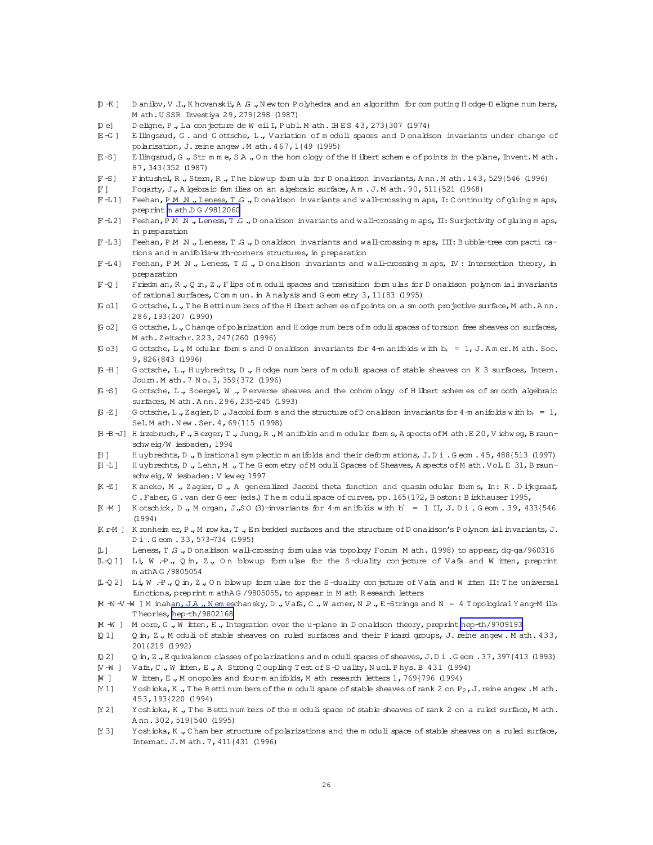- <span id="page-25-0"></span>D + K ] D anilov, V .I., K hovanskii, A G ., N ew ton P olyhedra and an algorithm for computing H odge-D eligne numbers, M ath. USSR Izvestiya 29, 279{298 (1987)
- Deligne, P., La conjecture de Weil I, Publ. Math. IHES 43, 273{307 (1974) Del
- E-G] Ellingsrud, G. and Gottsche, L., Variation of moduli spaces and Donaldson invariants under change of polarisation, J. reine angew . M ath. 467, 1{49 (1995)
- E llingsrud, G., Str m m e, SA., On the hom ology of the H ilbert schem e of points in the plane, Invent. M ath.  $E-S1$ 87, 343(352 (1987)
- F-S] Fintushel, R., Stem, R., The blowup formula for Donaldson invariants, Ann. Math. 143, 529{546 (1996)
- $F1$ Fogarty, J., A Igebraic fam ilies on an algebraic surface, Am. J.M ath. 90, 511(521 (1968)
- F-L1] Feehan, PM N., Leness, T.G., Donaldson invariants and wall-crossing maps, I: Continuity of gluing maps, preprint m ath DG /9812060
- F-L2] Feehan, PMN, Leness, TG, Donaldson invariants and wall-crossing maps, II: Surjectivity of gluing maps, in preparation
- F-L3] Feehan, PM N., Leness, T.G., Donaldson invariants and wall-crossing maps, III: Bubble-tree compactications and m anifolds-with-corners structures, in preparation
- F-L4] Feehan, PMN., Leness, T.G., Donaldson invariants and wall-crossing maps, IV: Intersection theory, in preparation
- $FQ$ ] Friedman, R., Q in, Z., Flips of moduli spaces and transition formulas for D onaldson polynomial invariants of rational surfaces, C om m un. in A nalysis and G eom etry 3, 11{83 (1995)
- [Go1] Gottsche, L., The Bettinum bers of the Hibert schem es of points on a sm ooth projective surface, Math. Ann. 286, 193(207 (1990)
- [Go2] Gottsche, L., Change of polarization and H odge numbers of moduli spaces of torsion free sheaves on surfaces, M ath. Zeitschr. 223, 247{260 (1996)
- G ottsche, L., M odular form s and D onaldson invariants for 4-m anifolds with  $b_+ = 1$ , J. Amer. M ath. Soc. [G o3] 9,826{843 (1996)
- [G +H] Gottsche, L., Huybrechts, D., Hodge numbers of moduli spaces of stable sheaves on K 3 surfaces, Intern. Joum. M ath. 7 No. 3, 359{372 (1996)
- [G-S] Gottsche, L., Soergel, W., Perverse sheaves and the cohom ology of Hilbert schem es of smooth algebraic surfaces, M ath. Ann. 296, 235-245 (1993)
- $G-Z$ ] Gottsche, L., Zagier, D., Jacobi form s and the structure of Donaldson invariants for 4-m anifolds with  $b_+=1$ , Sel. M ath. New . Ser. 4, 69(115 (1998)
- [i + B -J] H irzebruch, F., B erger, T., Jung, R., M anifolds and modular forms, A spects of M ath. E 20, V iehweg, B raunschweig/Wiesbaden, 1994
- $H<sub>1</sub>$ Huybrechts, D., Birational symplectic manifolds and their deformations, J.Di.Geom. 45, 488(513 (1997)
- [H-L] Huybrechts, D., Lehn, M., The Geometry of Moduli Spaces of Sheaves, A spects of Math. Vol. E 31, Braunschweig, Wiesbaden: Vieweg 1997
- [K-Z] Kaneko, M., Zagier, D., A generalized Jacobi theta function and quasim odular forms, In: R. Dijkgraaf, C. Faber, G. van der Geer (eds.) The moduli space of curves, pp. 165{172, Boston: Birkhauser 1995,
- $K \cdot M$  ] Kotschick, D., Morgan, J., SO (3)-invariants for 4-m anifolds with  $b^+ = 1$  II, J. Di. Geom. 39, 433{546}  $(1994)$
- [KrM] Kronheim er, P., Mrowka, T., Embedded surfaces and the structure of Donaldson's Polynom ial invariants, J. Di.Geom.33, 573-734 (1995)
- $\mathsf{m} \cdot \mathsf{1}$ Leness, T.G., Donaldson wall-crossing formulas via topology Forum Math. (1998) to appear, dg-ga/960316
- $L-01$ ] Li, W.P., O.m., Z., O.n. blowup formulae for the S-duality conjecture of Vafa and Witten, preprint m athAG /9805054
- [1-Q2] Li, W.P., Q in, Z., On blowup formulae for the S-duality conjecture of Vafa and Witten II: The universal functions, preprint m athAG /9805055, to appear in M ath R esearch letters
- M -N -V -W ] M inahan, J A ., Nem eschansky, D ., V afa, C ., W amer, N P ., E-Strings and N = 4 Topological Y ang-M ills Theories, hep-th/9802168
- M -W ] M oore, G., W itten, E., Integration over the u-plane in D onaldson theory, preprint hep-th/9709193
- $011$ Q in, Z., M oduli of stable sheaves on ruled surfaces and their P icard groups, J. reine angew. M ath. 433, 201(219 (1992)
- Q in, Z., Equivalence classes of polarizations and m oduli spaces of sheaves, J.D i. Geom. 37, 397{413 (1993)  $D<sub>21</sub>$
- [V -W ] Vafa, C., W itten, E., A Strong Coupling Test of S-D uality, Nucl. Phys. B 431 (1994)
- $W<sub>1</sub>$ W itten, E., M onopoles and four-manifolds, M ath research letters 1, 769{796 (1994)
- $[Y 1]$ Yoshioka, K., The Bettinum bers of the moduli space of stable sheaves of rank 2 on  $P_2$ , J. reine angew. M ath. 453, 193{220 (1994)
- Yoshioka, K., The Betti numbers of the moduli space of stable sheaves of rank 2 on a ruled surface, M ath. IY 21 Ann. 302, 519(540 (1995)
- $N<sub>31</sub>$ Yoshioka, K., Chamber structure of polarizations and the moduli space of stable sheaves on a ruled surface, Internat. J. M ath. 7, 411{431 (1996)